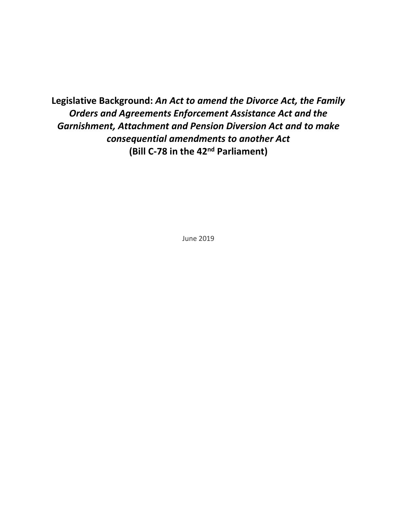**Legislative Background:** *An Act to amend the Divorce Act, the Family Orders and Agreements Enforcement Assistance Act and the Garnishment, Attachment and Pension Diversion Act and to make consequential amendments to another Act* **(Bill C-78 in the 42nd Parliament)**

June 2019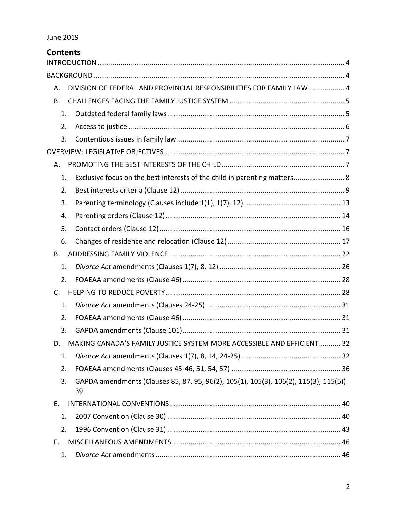| <b>Contents</b> |                                                                                      |
|-----------------|--------------------------------------------------------------------------------------|
|                 |                                                                                      |
| А.              | DIVISION OF FEDERAL AND PROVINCIAL RESPONSIBILITIES FOR FAMILY LAW  4                |
| <b>B.</b>       |                                                                                      |
| 1.              |                                                                                      |
| 2.              |                                                                                      |
| 3.              |                                                                                      |
|                 |                                                                                      |
| Α.              |                                                                                      |
| 1.              | Exclusive focus on the best interests of the child in parenting matters 8            |
| 2.              |                                                                                      |
| 3.              |                                                                                      |
| 4.              |                                                                                      |
| 5.              |                                                                                      |
| 6.              |                                                                                      |
| Β.              |                                                                                      |
| 1.              |                                                                                      |
| 2.              |                                                                                      |
| C.              |                                                                                      |
| 1.              |                                                                                      |
| 2.              |                                                                                      |
| 3.              |                                                                                      |
| D.              | MAKING CANADA'S FAMILY JUSTICE SYSTEM MORE ACCESSIBLE AND EFFICIENT 32               |
| 1.              |                                                                                      |
| 2.              |                                                                                      |
| 3.<br>39        | GAPDA amendments (Clauses 85, 87, 95, 96(2), 105(1), 105(3), 106(2), 115(3), 115(5)) |
| Е.              |                                                                                      |
| 1.              |                                                                                      |
| 2.              |                                                                                      |
| F.              |                                                                                      |
| 1.              |                                                                                      |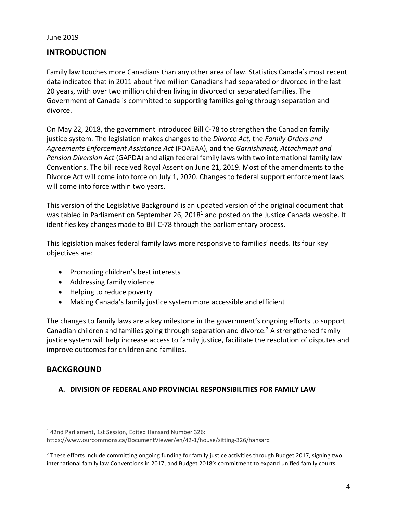## <span id="page-3-0"></span>**INTRODUCTION**

Family law touches more Canadians than any other area of law. Statistics Canada's most recent data indicated that in 2011 about five million Canadians had separated or divorced in the last 20 years, with over two million children living in divorced or separated families. The Government of Canada is committed to supporting families going through separation and divorce.

On May 22, 2018, the government introduced Bill C-78 to strengthen the Canadian family justice system. The legislation makes changes to the *Divorce Act,* the *Family Orders and Agreements Enforcement Assistance Act* (FOAEAA), and the *Garnishment, Attachment and Pension Diversion Act* (GAPDA) and align federal family laws with two international family law Conventions. The bill received Royal Assent on June 21, 2019. Most of the amendments to the Divorce Act will come into force on July 1, 2020. Changes to federal support enforcement laws will come into force within two years.

This version of the Legislative Background is an updated version of the original document that was tabled in Parliament on September 26, 2018<sup>1</sup> and posted on the Justice Canada website. It identifies key changes made to Bill C-78 through the parliamentary process.

This legislation makes federal family laws more responsive to families' needs. Its four key objectives are:

- Promoting children's best interests
- Addressing family violence
- Helping to reduce poverty
- Making Canada's family justice system more accessible and efficient

The changes to family laws are a key milestone in the government's ongoing efforts to support Canadian children and families going through separation and divorce.<sup>2</sup> A strengthened family justice system will help increase access to family justice, facilitate the resolution of disputes and improve outcomes for children and families.

#### <span id="page-3-1"></span>**BACKGROUND**

 $\overline{a}$ 

#### <span id="page-3-2"></span>**A. DIVISION OF FEDERAL AND PROVINCIAL RESPONSIBILITIES FOR FAMILY LAW**

<sup>1</sup> 42nd Parliament, 1st Session, Edited Hansard Number 326:

https://www.ourcommons.ca/DocumentViewer/en/42-1/house/sitting-326/hansard

<sup>&</sup>lt;sup>2</sup> These efforts include committing ongoing funding for family justice activities through Budget 2017, signing two international family law Conventions in 2017, and Budget 2018's commitment to expand unified family courts.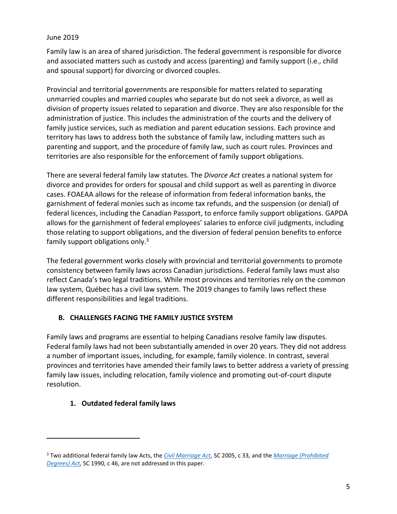Family law is an area of shared jurisdiction. The federal government is responsible for divorce and associated matters such as custody and access (parenting) and family support (i.e., child and spousal support) for divorcing or divorced couples.

Provincial and territorial governments are responsible for matters related to separating unmarried couples and married couples who separate but do not seek a divorce, as well as division of property issues related to separation and divorce. They are also responsible for the administration of justice. This includes the administration of the courts and the delivery of family justice services, such as mediation and parent education sessions. Each province and territory has laws to address both the substance of family law, including matters such as parenting and support, and the procedure of family law, such as court rules. Provinces and territories are also responsible for the enforcement of family support obligations.

There are several federal family law statutes. The *Divorce Act* creates a national system for divorce and provides for orders for spousal and child support as well as parenting in divorce cases. FOAEAA allows for the release of information from federal information banks, the garnishment of federal monies such as income tax refunds, and the suspension (or denial) of federal licences, including the Canadian Passport, to enforce family support obligations. GAPDA allows for the garnishment of federal employees' salaries to enforce civil judgments, including those relating to support obligations, and the diversion of federal pension benefits to enforce family support obligations only.<sup>3</sup>

The federal government works closely with provincial and territorial governments to promote consistency between family laws across Canadian jurisdictions. Federal family laws must also reflect Canada's two legal traditions. While most provinces and territories rely on the common law system, Québec has a civil law system. The 2019 changes to family laws reflect these different responsibilities and legal traditions.

#### <span id="page-4-0"></span>**B. CHALLENGES FACING THE FAMILY JUSTICE SYSTEM**

Family laws and programs are essential to helping Canadians resolve family law disputes. Federal family laws had not been substantially amended in over 20 years. They did not address a number of important issues, including, for example, family violence. In contrast, several provinces and territories have amended their family laws to better address a variety of pressing family law issues, including relocation, family violence and promoting out-of-court dispute resolution.

#### <span id="page-4-1"></span>**1. Outdated federal family laws**

<sup>3</sup> Two additional federal family law Acts, the *[Civil Marriage Act,](http://laws-lois.justice.gc.ca/eng/acts/c-31.5/page-1.html)* SC 2005, c 33, and the *[Marriage \(Prohibited](http://laws-lois.justice.gc.ca/eng/acts/M-2.1/page-1.html)  [Degrees\) Act,](http://laws-lois.justice.gc.ca/eng/acts/M-2.1/page-1.html)* SC 1990, c 46, are not addressed in this paper.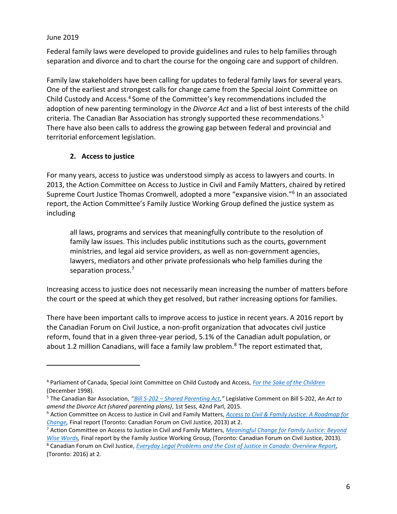$\overline{a}$ 

Federal family laws were developed to provide guidelines and rules to help families through separation and divorce and to chart the course for the ongoing care and support of children.

Family law stakeholders have been calling for updates to federal family laws for several years. One of the earliest and strongest calls for change came from the Special Joint Committee on Child Custody and Access.<sup>4</sup> Some of the Committee's key recommendations included the adoption of new parenting terminology in the *Divorce Act* and a list of best interests of the child criteria. The Canadian Bar Association has strongly supported these recommendations.<sup>5</sup> There have also been calls to address the growing gap between federal and provincial and territorial enforcement legislation.

#### **2. Access to justice**

<span id="page-5-0"></span>For many years, access to justice was understood simply as access to lawyers and courts. In 2013, the Action Committee on Access to Justice in Civil and Family Matters, chaired by retired Supreme Court Justice Thomas Cromwell, adopted a more "expansive vision."<sup>6</sup> In an associated report, the Action Committee's Family Justice Working Group defined the justice system as including

all laws, programs and services that meaningfully contribute to the resolution of family law issues. This includes public institutions such as the courts, government ministries, and legal aid service providers, as well as non-government agencies, lawyers, mediators and other private professionals who help families during the separation process.<sup>7</sup>

Increasing access to justice does not necessarily mean increasing the number of matters before the court or the speed at which they get resolved, but rather increasing options for families.

There have been important calls to improve access to justice in recent years. A 2016 report by the Canadian Forum on Civil Justice, a non-profit organization that advocates civil justice reform, found that in a given three-year period, 5.1% of the Canadian adult population, or about 1.2 million Canadians, will face a family law problem.<sup>8</sup> The report estimated that,

<sup>4</sup> Parliament of Canada, Special Joint Committee on Child Custody and Access, *[For the Sake of the Children](http://www.parl.ca/DocumentViewer/en/36-1/SJCA/report-2/page-60#language)* (December 1998).

<sup>5</sup> The Canadian Bar Association, *''Bill S-202 – [Shared Parenting Act](https://sencanada.ca/content/sen/committee/421/LCJC/Briefs/2017-12-S-202Brief-CBA_e.pdf),"* Legislative Comment on Bill S-202, *An Act to amend the Divorce Act (shared parenting plans)*, 1st Sess, 42nd Parl, 2015.

<sup>6</sup> Action Committee on Access to Justice in Civil and Family Matters, *[Access to Civil & Family Justice: A Roadmap for](http://www.cfcj-fcjc.org/sites/default/files/docs/2013/AC_Report_English_Final.pdf)  [Change,](http://www.cfcj-fcjc.org/sites/default/files/docs/2013/AC_Report_English_Final.pdf)* Final report (Toronto: Canadian Forum on Civil Justice, 2013) at 2.

<sup>7</sup> Action Committee on Access to Justice in Civil and Family Matters, *[Meaningful Change for Family Justice: Beyond](http://www.cfcj-fcjc.org/sites/default/files/docs/2013/Report%20of%20the%20Family%20Law%20WG%20Meaningful%20Change%20April%202013.pdf)  [Wise Words,](http://www.cfcj-fcjc.org/sites/default/files/docs/2013/Report%20of%20the%20Family%20Law%20WG%20Meaningful%20Change%20April%202013.pdf)* Final report by the Family Justice Working Group, (Toronto: Canadian Forum on Civil Justice, 2013).

<sup>8</sup> Canadian Forum on Civil Justice, *[Everyday Legal Problems and the Cost of Justice in Canada: Overview Report,](http://www.cfcj-fcjc.org/sites/default/files/Everyday%20Legal%20Problems%20and%20the%20Cost%20of%20Justice%20in%20Canada%20-%20Overview%20Report.pdf)*  (Toronto: 2016) at 2.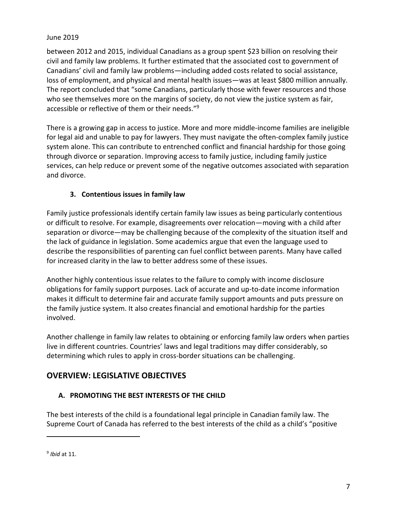between 2012 and 2015, individual Canadians as a group spent \$23 billion on resolving their civil and family law problems. It further estimated that the associated cost to government of Canadians' civil and family law problems—including added costs related to social assistance, loss of employment, and physical and mental health issues—was at least \$800 million annually. The report concluded that "some Canadians, particularly those with fewer resources and those who see themselves more on the margins of society, do not view the justice system as fair, accessible or reflective of them or their needs."<sup>9</sup>

There is a growing gap in access to justice. More and more middle-income families are ineligible for legal aid and unable to pay for lawyers. They must navigate the often-complex family justice system alone. This can contribute to entrenched conflict and financial hardship for those going through divorce or separation. Improving access to family justice, including family justice services, can help reduce or prevent some of the negative outcomes associated with separation and divorce.

## **3. Contentious issues in family law**

<span id="page-6-0"></span>Family justice professionals identify certain family law issues as being particularly contentious or difficult to resolve. For example, disagreements over relocation—moving with a child after separation or divorce—may be challenging because of the complexity of the situation itself and the lack of guidance in legislation. Some academics argue that even the language used to describe the responsibilities of parenting can fuel conflict between parents. Many have called for increased clarity in the law to better address some of these issues.

Another highly contentious issue relates to the failure to comply with income disclosure obligations for family support purposes. Lack of accurate and up-to-date income information makes it difficult to determine fair and accurate family support amounts and puts pressure on the family justice system. It also creates financial and emotional hardship for the parties involved.

Another challenge in family law relates to obtaining or enforcing family law orders when parties live in different countries. Countries' laws and legal traditions may differ considerably, so determining which rules to apply in cross-border situations can be challenging.

# <span id="page-6-1"></span>**OVERVIEW: LEGISLATIVE OBJECTIVES**

## <span id="page-6-2"></span>**A. PROMOTING THE BEST INTERESTS OF THE CHILD**

The best interests of the child is a foundational legal principle in Canadian family law. The Supreme Court of Canada has referred to the best interests of the child as a child's "positive

<sup>9</sup> *Ibid* at 11.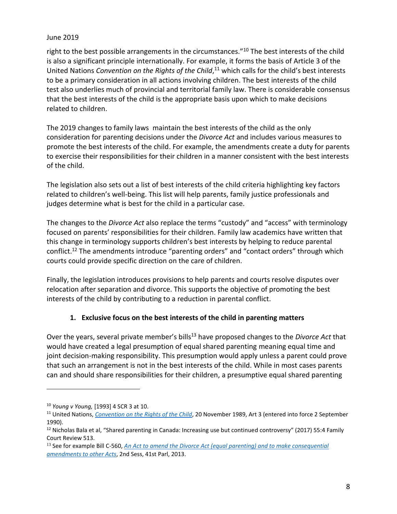right to the best possible arrangements in the circumstances."<sup>10</sup> The best interests of the child is also a significant principle internationally. For example, it forms the basis of Article 3 of the United Nations *Convention on the Rights of the Child*, <sup>11</sup> which calls for the child's best interests to be a primary consideration in all actions involving children. The best interests of the child test also underlies much of provincial and territorial family law. There is considerable consensus that the best interests of the child is the appropriate basis upon which to make decisions related to children.

The 2019 changes to family laws maintain the best interests of the child as the only consideration for parenting decisions under the *Divorce Act* and includes various measures to promote the best interests of the child. For example, the amendments create a duty for parents to exercise their responsibilities for their children in a manner consistent with the best interests of the child.

The legislation also sets out a list of best interests of the child criteria highlighting key factors related to children's well-being. This list will help parents, family justice professionals and judges determine what is best for the child in a particular case.

The changes to the *Divorce Act* also replace the terms "custody" and "access" with terminology focused on parents' responsibilities for their children. Family law academics have written that this change in terminology supports children's best interests by helping to reduce parental conflict.<sup>12</sup> The amendments introduce "parenting orders" and "contact orders" through which courts could provide specific direction on the care of children.

Finally, the legislation introduces provisions to help parents and courts resolve disputes over relocation after separation and divorce. This supports the objective of promoting the best interests of the child by contributing to a reduction in parental conflict.

## **1. Exclusive focus on the best interests of the child in parenting matters**

<span id="page-7-0"></span>Over the years, several private member's bills<sup>13</sup> have proposed changes to the *Divorce Act* that would have created a legal presumption of equal shared parenting meaning equal time and joint decision-making responsibility. This presumption would apply unless a parent could prove that such an arrangement is not in the best interests of the child. While in most cases parents can and should share responsibilities for their children, a presumptive equal shared parenting

<sup>10</sup> *Young v Young,* [1993] 4 SCR 3 at 10.

<sup>11</sup> United Nations, *[Convention on the Rights of the Child](https://www.ohchr.org/EN/ProfessionalInterest/Pages/CRC.aspx)*, 20 November 1989, Art 3 (entered into force 2 September 1990).

<sup>&</sup>lt;sup>12</sup> Nicholas Bala et al, "Shared parenting in Canada: Increasing use but continued controversy" (2017) 55:4 Family Court Review 513.

<sup>&</sup>lt;sup>13</sup> See for example Bill C-560, *An Act to amend the Divorce Act (equal parenting) and to make consequential [amendments](http://www.parl.ca/LegisInfo/BillDetails.aspx?billId=6353819&Language=E) to other Acts*, 2nd Sess, 41st Parl, 2013.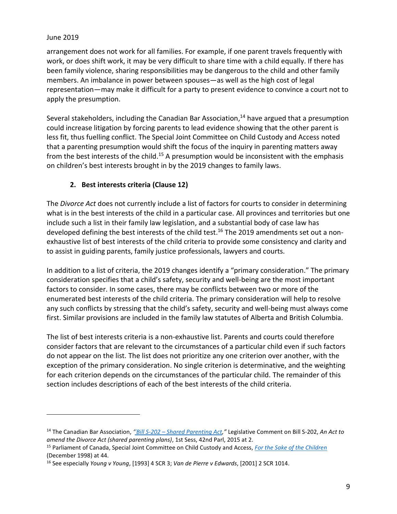$\overline{a}$ 

arrangement does not work for all families. For example, if one parent travels frequently with work, or does shift work, it may be very difficult to share time with a child equally. If there has been family violence, sharing responsibilities may be dangerous to the child and other family members. An imbalance in power between spouses—as well as the high cost of legal representation—may make it difficult for a party to present evidence to convince a court not to apply the presumption.

Several stakeholders, including the Canadian Bar Association,<sup>14</sup> have argued that a presumption could increase litigation by forcing parents to lead evidence showing that the other parent is less fit, thus fuelling conflict. The Special Joint Committee on Child Custody and Access noted that a parenting presumption would shift the focus of the inquiry in parenting matters away from the best interests of the child.<sup>15</sup> A presumption would be inconsistent with the emphasis on children's best interests brought in by the 2019 changes to family laws.

## **2. Best interests criteria (Clause 12)**

<span id="page-8-0"></span>The *Divorce Act* does not currently include a list of factors for courts to consider in determining what is in the best interests of the child in a particular case. All provinces and territories but one include such a list in their family law legislation, and a substantial body of case law has developed defining the best interests of the child test.<sup>16</sup> The 2019 amendments set out a nonexhaustive list of best interests of the child criteria to provide some consistency and clarity and to assist in guiding parents, family justice professionals, lawyers and courts.

In addition to a list of criteria, the 2019 changes identify a "primary consideration." The primary consideration specifies that a child's safety, security and well-being are the most important factors to consider. In some cases, there may be conflicts between two or more of the enumerated best interests of the child criteria. The primary consideration will help to resolve any such conflicts by stressing that the child's safety, security and well-being must always come first. Similar provisions are included in the family law statutes of Alberta and British Columbia.

The list of best interests criteria is a non-exhaustive list. Parents and courts could therefore consider factors that are relevant to the circumstances of a particular child even if such factors do not appear on the list. The list does not prioritize any one criterion over another, with the exception of the primary consideration. No single criterion is determinative, and the weighting for each criterion depends on the circumstances of the particular child. The remainder of this section includes descriptions of each of the best interests of the child criteria.

<sup>14</sup> The Canadian Bar Association, *''Bill S-202 – [Shared Parenting Act](https://sencanada.ca/content/sen/committee/421/LCJC/Briefs/2017-12-S-202Brief-CBA_e.pdf),"* Legislative Comment on Bill S-202, *An Act to amend the Divorce Act (shared parenting plans)*, 1st Sess, 42nd Parl, 2015 at 2.

<sup>15</sup> Parliament of Canada, Special Joint Committee on Child Custody and Access, *[For the Sake of the Children](http://www.parl.ca/DocumentViewer/en/36-1/SJCA/report-2/page-60#language)* (December 1998) at 44.

<sup>16</sup> See especially *Young v Young*, [1993] 4 SCR 3; *Van de Pierre v Edwards*, [2001] 2 SCR 1014.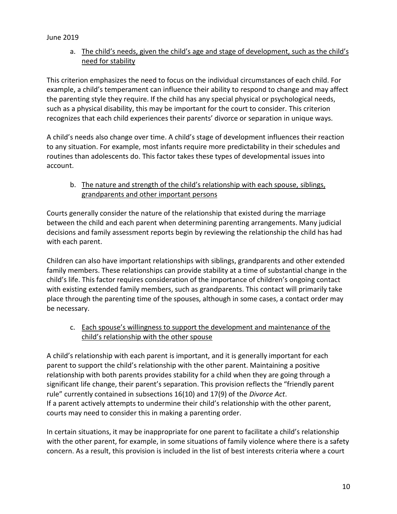a. The child's needs, given the child's age and stage of development, such as the child's need for stability

This criterion emphasizes the need to focus on the individual circumstances of each child. For example, a child's temperament can influence their ability to respond to change and may affect the parenting style they require. If the child has any special physical or psychological needs, such as a physical disability, this may be important for the court to consider. This criterion recognizes that each child experiences their parents' divorce or separation in unique ways.

A child's needs also change over time. A child's stage of development influences their reaction to any situation. For example, most infants require more predictability in their schedules and routines than adolescents do. This factor takes these types of developmental issues into account.

## b. The nature and strength of the child's relationship with each spouse, siblings, grandparents and other important persons

Courts generally consider the nature of the relationship that existed during the marriage between the child and each parent when determining parenting arrangements. Many judicial decisions and family assessment reports begin by reviewing the relationship the child has had with each parent.

Children can also have important relationships with siblings, grandparents and other extended family members. These relationships can provide stability at a time of substantial change in the child's life. This factor requires consideration of the importance of children's ongoing contact with existing extended family members, such as grandparents. This contact will primarily take place through the parenting time of the spouses, although in some cases, a contact order may be necessary.

## c. Each spouse's willingness to support the development and maintenance of the child's relationship with the other spouse

A child's relationship with each parent is important, and it is generally important for each parent to support the child's relationship with the other parent. Maintaining a positive relationship with both parents provides stability for a child when they are going through a significant life change, their parent's separation. This provision reflects the "friendly parent rule" currently contained in subsections 16(10) and 17(9) of the *Divorce Act*. If a parent actively attempts to undermine their child's relationship with the other parent, courts may need to consider this in making a parenting order.

In certain situations, it may be inappropriate for one parent to facilitate a child's relationship with the other parent, for example, in some situations of family violence where there is a safety concern. As a result, this provision is included in the list of best interests criteria where a court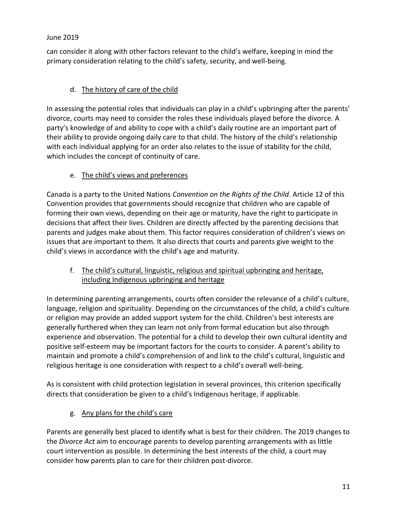can consider it along with other factors relevant to the child's welfare, keeping in mind the primary consideration relating to the child's safety, security, and well-being.

# d. The history of care of the child

In assessing the potential roles that individuals can play in a child's upbringing after the parents' divorce, courts may need to consider the roles these individuals played before the divorce. A party's knowledge of and ability to cope with a child's daily routine are an important part of their ability to provide ongoing daily care to that child. The history of the child's relationship with each individual applying for an order also relates to the issue of stability for the child, which includes the concept of continuity of care.

## e. The child's views and preferences

Canada is a party to the United Nations *Convention on the Rights of the Child*. Article 12 of this Convention provides that governments should recognize that children who are capable of forming their own views, depending on their age or maturity, have the right to participate in decisions that affect their lives. Children are directly affected by the parenting decisions that parents and judges make about them. This factor requires consideration of children's views on issues that are important to them. It also directs that courts and parents give weight to the child's views in accordance with the child's age and maturity.

## f. The child's cultural, linguistic, religious and spiritual upbringing and heritage, including Indigenous upbringing and heritage

In determining parenting arrangements, courts often consider the relevance of a child's culture, language, religion and spirituality. Depending on the circumstances of the child, a child's culture or religion may provide an added support system for the child. Children's best interests are generally furthered when they can learn not only from formal education but also through experience and observation. The potential for a child to develop their own cultural identity and positive self-esteem may be important factors for the courts to consider. A parent's ability to maintain and promote a child's comprehension of and link to the child's cultural, linguistic and religious heritage is one consideration with respect to a child's overall well-being.

As is consistent with child protection legislation in several provinces, this criterion specifically directs that consideration be given to a child's Indigenous heritage, if applicable.

g. Any plans for the child's care

Parents are generally best placed to identify what is best for their children. The 2019 changes to the *Divorce Act* aim to encourage parents to develop parenting arrangements with as little court intervention as possible. In determining the best interests of the child, a court may consider how parents plan to care for their children post-divorce.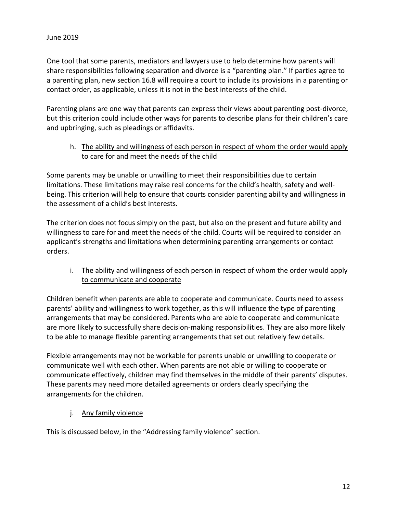One tool that some parents, mediators and lawyers use to help determine how parents will share responsibilities following separation and divorce is a "parenting plan." If parties agree to a parenting plan, new section 16.8 will require a court to include its provisions in a parenting or contact order, as applicable, unless it is not in the best interests of the child.

Parenting plans are one way that parents can express their views about parenting post-divorce, but this criterion could include other ways for parents to describe plans for their children's care and upbringing, such as pleadings or affidavits.

#### h. The ability and willingness of each person in respect of whom the order would apply to care for and meet the needs of the child

Some parents may be unable or unwilling to meet their responsibilities due to certain limitations. These limitations may raise real concerns for the child's health, safety and wellbeing. This criterion will help to ensure that courts consider parenting ability and willingness in the assessment of a child's best interests.

The criterion does not focus simply on the past, but also on the present and future ability and willingness to care for and meet the needs of the child. Courts will be required to consider an applicant's strengths and limitations when determining parenting arrangements or contact orders.

## i. The ability and willingness of each person in respect of whom the order would apply to communicate and cooperate

Children benefit when parents are able to cooperate and communicate. Courts need to assess parents' ability and willingness to work together, as this will influence the type of parenting arrangements that may be considered. Parents who are able to cooperate and communicate are more likely to successfully share decision-making responsibilities. They are also more likely to be able to manage flexible parenting arrangements that set out relatively few details.

Flexible arrangements may not be workable for parents unable or unwilling to cooperate or communicate well with each other. When parents are not able or willing to cooperate or communicate effectively, children may find themselves in the middle of their parents' disputes. These parents may need more detailed agreements or orders clearly specifying the arrangements for the children.

#### j. Any family violence

This is discussed below, in the "Addressing family violence" section.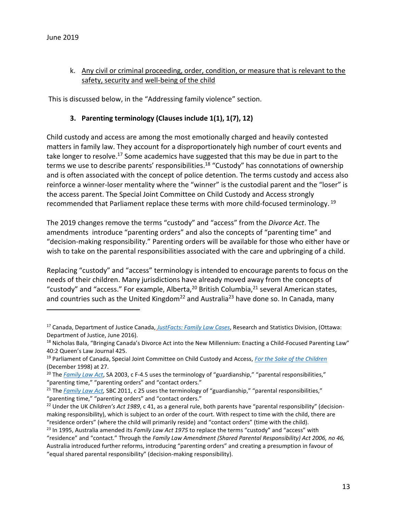$\overline{a}$ 

## k. Any civil or criminal proceeding, order, condition, or measure that is relevant to the safety, security and well-being of the child

<span id="page-12-0"></span>This is discussed below, in the "Addressing family violence" section.

#### **3. Parenting terminology (Clauses include 1(1), 1(7), 12)**

Child custody and access are among the most emotionally charged and heavily contested matters in family law. They account for a disproportionately high number of court events and take longer to resolve.<sup>17</sup> Some academics have suggested that this may be due in part to the terms we use to describe parents' responsibilities.<sup>18</sup> "Custody" has connotations of ownership and is often associated with the concept of police detention. The terms custody and access also reinforce a winner-loser mentality where the "winner" is the custodial parent and the "loser" is the access parent. The Special Joint Committee on Child Custody and Access strongly recommended that Parliament replace these terms with more child-focused terminology. <sup>19</sup>

The 2019 changes remove the terms "custody" and "access" from the *Divorce Act*. The amendments introduce "parenting orders" and also the concepts of "parenting time" and "decision-making responsibility." Parenting orders will be available for those who either have or wish to take on the parental responsibilities associated with the care and upbringing of a child.

Replacing "custody" and "access" terminology is intended to encourage parents to focus on the needs of their children. Many jurisdictions have already moved away from the concepts of "custody" and "access." For example, Alberta,<sup>20</sup> British Columbia,<sup>21</sup> several American states, and countries such as the United Kingdom<sup>22</sup> and Australia<sup>23</sup> have done so. In Canada, many

<sup>17</sup> Canada, Department of Justice Canada, *[JustFacts: Family Law Cases](http://www.justice.gc.ca/eng/rp-pr/fl-lf/divorce/jf-pf/flc-cdf.html)*, Research and Statistics Division, (Ottawa: Department of Justice, June 2016).

<sup>&</sup>lt;sup>18</sup> Nicholas Bala, "Bringing Canada's Divorce Act into the New Millennium: Enacting a Child-Focused Parenting Law" 40:2 Queen's Law Journal 425.

<sup>19</sup> Parliament of Canada, Special Joint Committee on Child Custody and Access, *[For the Sake of the Children](http://www.parl.ca/DocumentViewer/en/36-1/SJCA/report-2/page-60#language)* (December 1998) at 27.

<sup>&</sup>lt;sup>20</sup> The *[Family Law Act](http://www.qp.alberta.ca/documents/Acts/F04P5.pdf)*, SA 2003, c F-4.5 uses the terminology of "guardianship," "parental responsibilities," "parenting time," "parenting orders" and "contact orders."

<sup>&</sup>lt;sup>21</sup> The *Family Law Act*, SBC 2011, c 25 uses the terminology of "guardianship," "parental responsibilities," "parenting time," "parenting orders" and "contact orders."

<sup>22</sup> Under the UK *Children's Act 1989*, c 41, as a general rule, both parents have "parental responsibility" (decisionmaking responsibility), which is subject to an order of the court. With respect to time with the child, there are "residence orders" (where the child will primarily reside) and "contact orders" (time with the child).

<sup>23</sup> In 1995, Australia amended its *Family Law Act 1975* to replace the terms "custody" and "access" with "residence" and "contact." Through the *Family Law Amendment (Shared Parental Responsibility) Act 2006, no 46,*  Australia introduced further reforms, introducing "parenting orders" and creating a presumption in favour of "equal shared parental responsibility" (decision-making responsibility).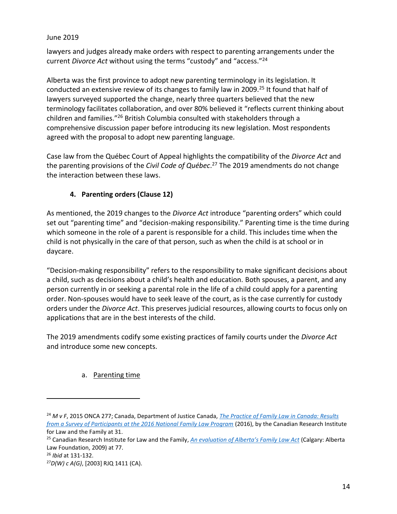lawyers and judges already make orders with respect to parenting arrangements under the current *Divorce Act* without using the terms "custody" and "access."<sup>24</sup>

Alberta was the first province to adopt new parenting terminology in its legislation. It conducted an extensive review of its changes to family law in 2009.<sup>25</sup> It found that half of lawyers surveyed supported the change, nearly three quarters believed that the new terminology facilitates collaboration, and over 80% believed it "reflects current thinking about children and families."<sup>26</sup> British Columbia consulted with stakeholders through a comprehensive discussion paper before introducing its new legislation. Most respondents agreed with the proposal to adopt new parenting language.

Case law from the Québec Court of Appeal highlights the compatibility of the *Divorce Act* and the parenting provisions of the *Civil Code of Québec*. <sup>27</sup> The 2019 amendments do not change the interaction between these laws.

## **4. Parenting orders (Clause 12)**

<span id="page-13-0"></span>As mentioned, the 2019 changes to the *Divorce Act* introduce "parenting orders" which could set out "parenting time" and "decision-making responsibility." Parenting time is the time during which someone in the role of a parent is responsible for a child. This includes time when the child is not physically in the care of that person, such as when the child is at school or in daycare.

"Decision-making responsibility" refers to the responsibility to make significant decisions about a child, such as decisions about a child's health and education. Both spouses, a parent, and any person currently in or seeking a parental role in the life of a child could apply for a parenting order. Non-spouses would have to seek leave of the court, as is the case currently for custody orders under the *Divorce Act*. This preserves judicial resources, allowing courts to focus only on applications that are in the best interests of the child.

The 2019 amendments codify some existing practices of family courts under the *Divorce Act*  and introduce some new concepts.

## a. Parenting time

<sup>26</sup> *Ibid* at 131-132.

<sup>24</sup> *M v F*, 2015 ONCA 277; Canada, Department of Justice Canada, *[The Practice of Family Law in Canada: Results](http://www.crilf.ca/Documents/RSD_2016_NFLP_Survey_of_Family_Court_EN.PDF)  [from a Survey of Participants at the 2016 National Family Law Program](http://www.crilf.ca/Documents/RSD_2016_NFLP_Survey_of_Family_Court_EN.PDF)* (2016), by the Canadian Research Institute for Law and the Family at 31.

<sup>25</sup> Canadian Research Institute for Law and the Family, *[An evaluation of Alberta's Family Law Act](http://www.crilf.ca/Documents/Evaluation%20of%20Alberta%20Family%20Law%20Act%20-%20May%202009.pdf)* (Calgary: Alberta Law Foundation, 2009) at 77.

<sup>27</sup>*D(W) c A(G)*, [2003] RJQ 1411 (CA).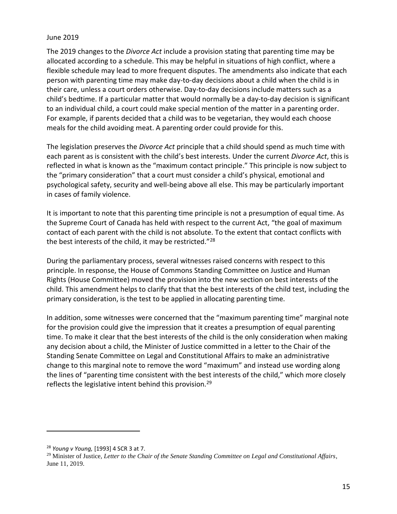The 2019 changes to the *Divorce Act* include a provision stating that parenting time may be allocated according to a schedule. This may be helpful in situations of high conflict, where a flexible schedule may lead to more frequent disputes. The amendments also indicate that each person with parenting time may make day-to-day decisions about a child when the child is in their care, unless a court orders otherwise. Day-to-day decisions include matters such as a child's bedtime. If a particular matter that would normally be a day-to-day decision is significant to an individual child, a court could make special mention of the matter in a parenting order. For example, if parents decided that a child was to be vegetarian, they would each choose meals for the child avoiding meat. A parenting order could provide for this.

The legislation preserves the *Divorce Act* principle that a child should spend as much time with each parent as is consistent with the child's best interests. Under the current *Divorce Act*, this is reflected in what is known as the "maximum contact principle." This principle is now subject to the "primary consideration" that a court must consider a child's physical, emotional and psychological safety, security and well-being above all else. This may be particularly important in cases of family violence.

It is important to note that this parenting time principle is not a presumption of equal time. As the Supreme Court of Canada has held with respect to the current Act, "the goal of maximum contact of each parent with the child is not absolute. To the extent that contact conflicts with the best interests of the child, it may be restricted."<sup>28</sup>

During the parliamentary process, several witnesses raised concerns with respect to this principle. In response, the House of Commons Standing Committee on Justice and Human Rights (House Committee) moved the provision into the new section on best interests of the child. This amendment helps to clarify that that the best interests of the child test, including the primary consideration, is the test to be applied in allocating parenting time.

In addition, some witnesses were concerned that the "maximum parenting time" marginal note for the provision could give the impression that it creates a presumption of equal parenting time. To make it clear that the best interests of the child is the only consideration when making any decision about a child, the Minister of Justice committed in a letter to the Chair of the Standing Senate Committee on Legal and Constitutional Affairs to make an administrative change to this marginal note to remove the word "maximum" and instead use wording along the lines of "parenting time consistent with the best interests of the child," which more closely reflects the legislative intent behind this provision.<sup>29</sup>

<sup>28</sup> *Young v Young,* [1993] 4 SCR 3 at 7.

<sup>29</sup> Minister of Justice, *Letter to the Chair of the Senate Standing Committee on Legal and Constitutional Affairs*, June 11, 2019.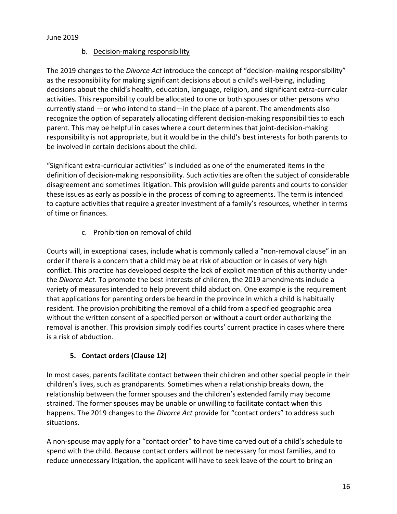### b. Decision-making responsibility

The 2019 changes to the *Divorce Act* introduce the concept of "decision-making responsibility" as the responsibility for making significant decisions about a child's well-being, including decisions about the child's health, education, language, religion, and significant extra-curricular activities. This responsibility could be allocated to one or both spouses or other persons who currently stand —or who intend to stand—in the place of a parent. The amendments also recognize the option of separately allocating different decision-making responsibilities to each parent. This may be helpful in cases where a court determines that joint-decision-making responsibility is not appropriate, but it would be in the child's best interests for both parents to be involved in certain decisions about the child.

"Significant extra-curricular activities" is included as one of the enumerated items in the definition of decision-making responsibility. Such activities are often the subject of considerable disagreement and sometimes litigation. This provision will guide parents and courts to consider these issues as early as possible in the process of coming to agreements. The term is intended to capture activities that require a greater investment of a family's resources, whether in terms of time or finances.

## c. Prohibition on removal of child

Courts will, in exceptional cases, include what is commonly called a "non-removal clause" in an order if there is a concern that a child may be at risk of abduction or in cases of very high conflict. This practice has developed despite the lack of explicit mention of this authority under the *Divorce Act*. To promote the best interests of children, the 2019 amendments include a variety of measures intended to help prevent child abduction. One example is the requirement that applications for parenting orders be heard in the province in which a child is habitually resident. The provision prohibiting the removal of a child from a specified geographic area without the written consent of a specified person or without a court order authorizing the removal is another. This provision simply codifies courts' current practice in cases where there is a risk of abduction.

## **5. Contact orders (Clause 12)**

<span id="page-15-0"></span>In most cases, parents facilitate contact between their children and other special people in their children's lives, such as grandparents. Sometimes when a relationship breaks down, the relationship between the former spouses and the children's extended family may become strained. The former spouses may be unable or unwilling to facilitate contact when this happens. The 2019 changes to the *Divorce Act* provide for "contact orders" to address such situations.

A non-spouse may apply for a "contact order" to have time carved out of a child's schedule to spend with the child. Because contact orders will not be necessary for most families, and to reduce unnecessary litigation, the applicant will have to seek leave of the court to bring an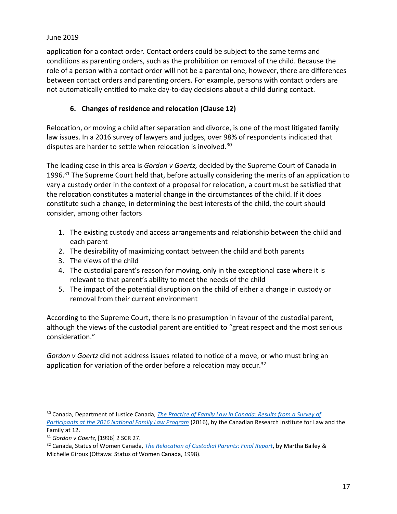application for a contact order. Contact orders could be subject to the same terms and conditions as parenting orders, such as the prohibition on removal of the child. Because the role of a person with a contact order will not be a parental one, however, there are differences between contact orders and parenting orders. For example, persons with contact orders are not automatically entitled to make day-to-day decisions about a child during contact.

## **6. Changes of residence and relocation (Clause 12)**

<span id="page-16-0"></span>Relocation, or moving a child after separation and divorce, is one of the most litigated family law issues. In a 2016 survey of lawyers and judges, over 98% of respondents indicated that disputes are harder to settle when relocation is involved.<sup>30</sup>

The leading case in this area is *Gordon v Goertz,* decided by the Supreme Court of Canada in 1996.<sup>31</sup> The Supreme Court held that, before actually considering the merits of an application to vary a custody order in the context of a proposal for relocation, a court must be satisfied that the relocation constitutes a material change in the circumstances of the child. If it does constitute such a change, in determining the best interests of the child, the court should consider, among other factors

- 1. The existing custody and access arrangements and relationship between the child and each parent
- 2. The desirability of maximizing contact between the child and both parents
- 3. The views of the child
- 4. The custodial parent's reason for moving, only in the exceptional case where it is relevant to that parent's ability to meet the needs of the child
- 5. The impact of the potential disruption on the child of either a change in custody or removal from their current environment

According to the Supreme Court, there is no presumption in favour of the custodial parent, although the views of the custodial parent are entitled to "great respect and the most serious consideration."

*Gordon v Goertz* did not address issues related to notice of a move, or who must bring an application for variation of the order before a relocation may occur.<sup>32</sup>

<sup>30</sup> Canada, Department of Justice Canada, *[The Practice of Family Law in Canada: Results from a Survey of](http://www.crilf.ca/Documents/RSD_2016_NFLP_Survey_of_Family_Court_EN.PDF)  [Participants at the 2016 National Family Law Program](http://www.crilf.ca/Documents/RSD_2016_NFLP_Survey_of_Family_Court_EN.PDF)* (2016), by the Canadian Research Institute for Law and the Family at 12.

<sup>31</sup> *Gordon v Goertz,* [1996] 2 SCR 27.

<sup>32</sup> Canada, Status of Women Canada, *[The Relocation of Custodial Parents: Final Report](http://www.publications.gc.ca/collections/Collection/SW21-25-1998E.pdf)*, by Martha Bailey & Michelle Giroux (Ottawa: Status of Women Canada, 1998).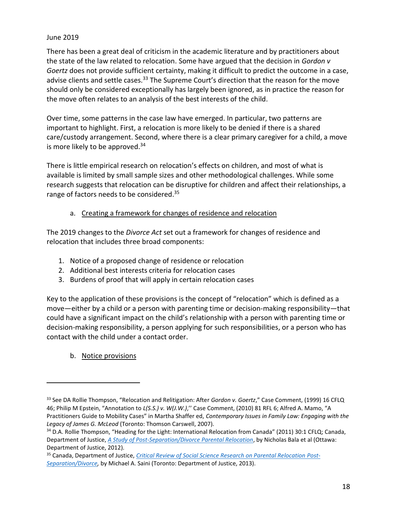There has been a great deal of criticism in the academic literature and by practitioners about the state of the law related to relocation. Some have argued that the decision in *Gordon v Goertz* does not provide sufficient certainty, making it difficult to predict the outcome in a case, advise clients and settle cases.<sup>33</sup> The Supreme Court's direction that the reason for the move should only be considered exceptionally has largely been ignored, as in practice the reason for the move often relates to an analysis of the best interests of the child.

Over time, some patterns in the case law have emerged. In particular, two patterns are important to highlight. First, a relocation is more likely to be denied if there is a shared care/custody arrangement. Second, where there is a clear primary caregiver for a child, a move is more likely to be approved.<sup>34</sup>

There is little empirical research on relocation's effects on children, and most of what is available is limited by small sample sizes and other methodological challenges. While some research suggests that relocation can be disruptive for children and affect their relationships, a range of factors needs to be considered.<sup>35</sup>

## a. Creating a framework for changes of residence and relocation

The 2019 changes to the *Divorce Act* set out a framework for changes of residence and relocation that includes three broad components:

- 1. Notice of a proposed change of residence or relocation
- 2. Additional best interests criteria for relocation cases
- 3. Burdens of proof that will apply in certain relocation cases

Key to the application of these provisions is the concept of "relocation" which is defined as a move—either by a child or a person with parenting time or decision-making responsibility—that could have a significant impact on the child's relationship with a person with parenting time or decision-making responsibility, a person applying for such responsibilities, or a person who has contact with the child under a contact order.

b. Notice provisions

<sup>33</sup> See DA Rollie Thompson, "Relocation and Relitigation: After *Gordon v. Goertz*," Case Comment, (1999) 16 CFLQ 46; Philip M Epstein, "Annotation to *L(S.S.) v. W(J.W.)*,'' Case Comment, (2010) 81 RFL 6; Alfred A. Mamo, "A Practitioners Guide to Mobility Cases" in Martha Shaffer ed, *Contemporary Issues in Family Law: Engaging with the Legacy of James G. McLeod* (Toronto: Thomson Carswell, 2007).

<sup>34</sup> D.A. Rollie Thompson, "Heading for the Light: International Relocation from Canada" (2011) 30:1 CFLQ; Canada, Department of Justice, *[A Study of Post-Separation/Divorce Parental Relocation](http://www.justice.gc.ca/eng/rp-pr/fl-lf/divorce/spsdpr-edpads/index.html)*, by Nicholas Bala et al (Ottawa: Department of Justice, 2012).

<sup>35</sup> Canada, Department of Justice, *[Critical Review of Social Science Research on Parental Relocation Post-](http://www.justice.gc.ca/eng/rp-pr/fl-lf/divorce/crssr-ecrss/crssr-ecrss.pdf)[Separation/Divorce,](http://www.justice.gc.ca/eng/rp-pr/fl-lf/divorce/crssr-ecrss/crssr-ecrss.pdf)* by Michael A. Saini (Toronto: Department of Justice, 2013).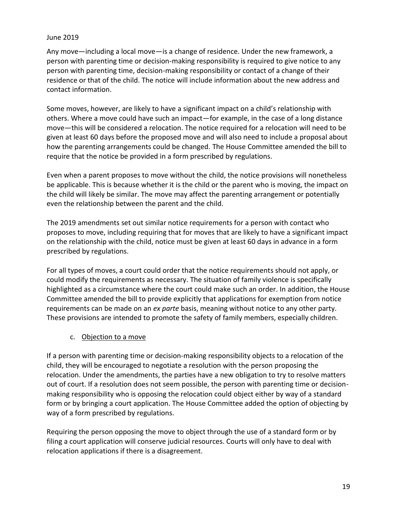Any move—including a local move—is a change of residence. Under the new framework, a person with parenting time or decision-making responsibility is required to give notice to any person with parenting time, decision-making responsibility or contact of a change of their residence or that of the child. The notice will include information about the new address and contact information.

Some moves, however, are likely to have a significant impact on a child's relationship with others. Where a move could have such an impact—for example, in the case of a long distance move—this will be considered a relocation. The notice required for a relocation will need to be given at least 60 days before the proposed move and will also need to include a proposal about how the parenting arrangements could be changed. The House Committee amended the bill to require that the notice be provided in a form prescribed by regulations.

Even when a parent proposes to move without the child, the notice provisions will nonetheless be applicable. This is because whether it is the child or the parent who is moving, the impact on the child will likely be similar. The move may affect the parenting arrangement or potentially even the relationship between the parent and the child.

The 2019 amendments set out similar notice requirements for a person with contact who proposes to move, including requiring that for moves that are likely to have a significant impact on the relationship with the child, notice must be given at least 60 days in advance in a form prescribed by regulations.

For all types of moves, a court could order that the notice requirements should not apply, or could modify the requirements as necessary. The situation of family violence is specifically highlighted as a circumstance where the court could make such an order. In addition, the House Committee amended the bill to provide explicitly that applications for exemption from notice requirements can be made on an *ex parte* basis, meaning without notice to any other party. These provisions are intended to promote the safety of family members, especially children.

#### c. Objection to a move

If a person with parenting time or decision-making responsibility objects to a relocation of the child, they will be encouraged to negotiate a resolution with the person proposing the relocation. Under the amendments, the parties have a new obligation to try to resolve matters out of court. If a resolution does not seem possible, the person with parenting time or decisionmaking responsibility who is opposing the relocation could object either by way of a standard form or by bringing a court application. The House Committee added the option of objecting by way of a form prescribed by regulations.

Requiring the person opposing the move to object through the use of a standard form or by filing a court application will conserve judicial resources. Courts will only have to deal with relocation applications if there is a disagreement.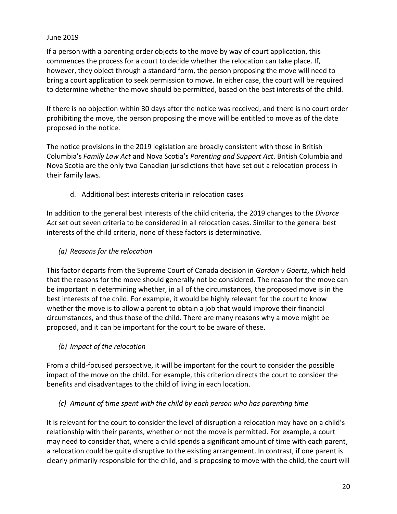If a person with a parenting order objects to the move by way of court application, this commences the process for a court to decide whether the relocation can take place. If, however, they object through a standard form, the person proposing the move will need to bring a court application to seek permission to move. In either case, the court will be required to determine whether the move should be permitted, based on the best interests of the child.

If there is no objection within 30 days after the notice was received, and there is no court order prohibiting the move, the person proposing the move will be entitled to move as of the date proposed in the notice.

The notice provisions in the 2019 legislation are broadly consistent with those in British Columbia's *Family Law Act* and Nova Scotia's *Parenting and Support Act*. British Columbia and Nova Scotia are the only two Canadian jurisdictions that have set out a relocation process in their family laws.

## d. Additional best interests criteria in relocation cases

In addition to the general best interests of the child criteria, the 2019 changes to the *Divorce Act* set out seven criteria to be considered in all relocation cases. Similar to the general best interests of the child criteria, none of these factors is determinative.

*(a) Reasons for the relocation*

This factor departs from the Supreme Court of Canada decision in *Gordon v Goertz*, which held that the reasons for the move should generally not be considered. The reason for the move can be important in determining whether, in all of the circumstances, the proposed move is in the best interests of the child. For example, it would be highly relevant for the court to know whether the move is to allow a parent to obtain a job that would improve their financial circumstances, and thus those of the child. There are many reasons why a move might be proposed, and it can be important for the court to be aware of these.

*(b) Impact of the relocation*

From a child-focused perspective, it will be important for the court to consider the possible impact of the move on the child. For example, this criterion directs the court to consider the benefits and disadvantages to the child of living in each location.

## *(c) Amount of time spent with the child by each person who has parenting time*

It is relevant for the court to consider the level of disruption a relocation may have on a child's relationship with their parents, whether or not the move is permitted. For example, a court may need to consider that, where a child spends a significant amount of time with each parent, a relocation could be quite disruptive to the existing arrangement. In contrast, if one parent is clearly primarily responsible for the child, and is proposing to move with the child, the court will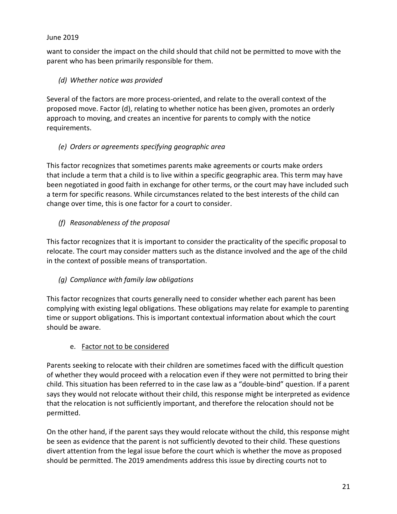want to consider the impact on the child should that child not be permitted to move with the parent who has been primarily responsible for them.

## *(d) Whether notice was provided*

Several of the factors are more process-oriented, and relate to the overall context of the proposed move. Factor (d), relating to whether notice has been given, promotes an orderly approach to moving, and creates an incentive for parents to comply with the notice requirements.

## *(e) Orders or agreements specifying geographic area*

This factor recognizes that sometimes parents make agreements or courts make orders that include a term that a child is to live within a specific geographic area. This term may have been negotiated in good faith in exchange for other terms, or the court may have included such a term for specific reasons. While circumstances related to the best interests of the child can change over time, this is one factor for a court to consider.

# *(f) Reasonableness of the proposal*

This factor recognizes that it is important to consider the practicality of the specific proposal to relocate. The court may consider matters such as the distance involved and the age of the child in the context of possible means of transportation.

# *(g) Compliance with family law obligations*

This factor recognizes that courts generally need to consider whether each parent has been complying with existing legal obligations. These obligations may relate for example to parenting time or support obligations. This is important contextual information about which the court should be aware.

## e. Factor not to be considered

Parents seeking to relocate with their children are sometimes faced with the difficult question of whether they would proceed with a relocation even if they were not permitted to bring their child. This situation has been referred to in the case law as a "double-bind" question. If a parent says they would not relocate without their child, this response might be interpreted as evidence that the relocation is not sufficiently important, and therefore the relocation should not be permitted.

On the other hand, if the parent says they would relocate without the child, this response might be seen as evidence that the parent is not sufficiently devoted to their child. These questions divert attention from the legal issue before the court which is whether the move as proposed should be permitted. The 2019 amendments address this issue by directing courts not to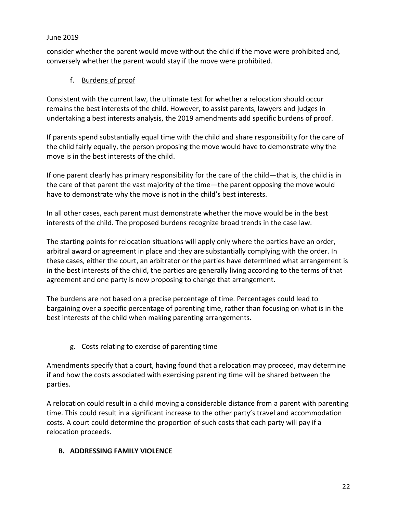consider whether the parent would move without the child if the move were prohibited and, conversely whether the parent would stay if the move were prohibited.

## f. Burdens of proof

Consistent with the current law, the ultimate test for whether a relocation should occur remains the best interests of the child. However, to assist parents, lawyers and judges in undertaking a best interests analysis, the 2019 amendments add specific burdens of proof.

If parents spend substantially equal time with the child and share responsibility for the care of the child fairly equally, the person proposing the move would have to demonstrate why the move is in the best interests of the child.

If one parent clearly has primary responsibility for the care of the child—that is, the child is in the care of that parent the vast majority of the time—the parent opposing the move would have to demonstrate why the move is not in the child's best interests.

In all other cases, each parent must demonstrate whether the move would be in the best interests of the child. The proposed burdens recognize broad trends in the case law.

The starting points for relocation situations will apply only where the parties have an order, arbitral award or agreement in place and they are substantially complying with the order. In these cases, either the court, an arbitrator or the parties have determined what arrangement is in the best interests of the child, the parties are generally living according to the terms of that agreement and one party is now proposing to change that arrangement.

The burdens are not based on a precise percentage of time. Percentages could lead to bargaining over a specific percentage of parenting time, rather than focusing on what is in the best interests of the child when making parenting arrangements.

# g. Costs relating to exercise of parenting time

Amendments specify that a court, having found that a relocation may proceed, may determine if and how the costs associated with exercising parenting time will be shared between the parties.

A relocation could result in a child moving a considerable distance from a parent with parenting time. This could result in a significant increase to the other party's travel and accommodation costs. A court could determine the proportion of such costs that each party will pay if a relocation proceeds.

## <span id="page-21-0"></span>**B. ADDRESSING FAMILY VIOLENCE**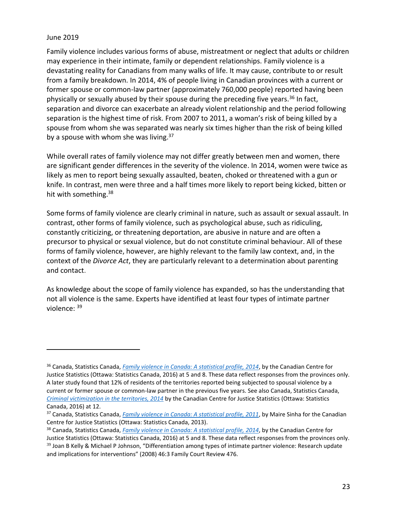$\overline{a}$ 

Family violence includes various forms of abuse, mistreatment or neglect that adults or children may experience in their intimate, family or dependent relationships. Family violence is a devastating reality for Canadians from many walks of life. It may cause, contribute to or result from a family breakdown. In 2014, 4% of people living in Canadian provinces with a current or former spouse or common-law partner (approximately 760,000 people) reported having been physically or sexually abused by their spouse during the preceding five years.<sup>36</sup> In fact, separation and divorce can exacerbate an already violent relationship and the period following separation is the highest time of risk. From 2007 to 2011, a woman's risk of being killed by a spouse from whom she was separated was nearly six times higher than the risk of being killed by a spouse with whom she was living.<sup>37</sup>

While overall rates of family violence may not differ greatly between men and women, there are significant gender differences in the severity of the violence. In 2014, women were twice as likely as men to report being sexually assaulted, beaten, choked or threatened with a gun or knife. In contrast, men were three and a half times more likely to report being kicked, bitten or hit with something.<sup>38</sup>

Some forms of family violence are clearly criminal in nature, such as assault or sexual assault. In contrast, other forms of family violence, such as psychological abuse, such as ridiculing, constantly criticizing, or threatening deportation, are abusive in nature and are often a precursor to physical or sexual violence, but do not constitute criminal behaviour. All of these forms of family violence, however, are highly relevant to the family law context, and, in the context of the *Divorce Act*, they are particularly relevant to a determination about parenting and contact.

As knowledge about the scope of family violence has expanded, so has the understanding that not all violence is the same. Experts have identified at least four types of intimate partner violence: <sup>39</sup>

<sup>36</sup> Canada, Statistics Canada, *[Family violence in Canada: A statistical profile, 2014](http://www.statcan.gc.ca/pub/85-002-x/2016001/article/14303-eng.pdf)*, by the Canadian Centre for Justice Statistics (Ottawa: Statistics Canada, 2016) at 5 and 8. These data reflect responses from the provinces only. A later study found that 12% of residents of the territories reported being subjected to spousal violence by a current or former spouse or common-law partner in the previous five years. See also Canada, Statistics Canada, *[Criminal victimization in the territories, 2014](http://www.statcan.gc.ca/pub/85-002-x/2016001/article/14470-eng.pdf)* by the Canadian Centre for Justice Statistics (Ottawa: Statistics Canada, 2016) at 12.

<sup>&</sup>lt;sup>37</sup> Canada, Statistics Canada, *[Family violence in Canada: A statistical profile, 2011](http://www.statcan.gc.ca/pub/85-002-x/2013001/article/11805-eng.pdf)*, by Maire Sinha for the Canadian Centre for Justice Statistics (Ottawa: Statistics Canada, 2013).

<sup>38</sup> Canada, Statistics Canada, *[Family violence in Canada: A statistical profile, 2014](http://www.statcan.gc.ca/pub/85-002-x/2016001/article/14303-eng.pdf)*, by the Canadian Centre for

Justice Statistics (Ottawa: Statistics Canada, 2016) at 5 and 8. These data reflect responses from the provinces only. <sup>39</sup> Joan B Kelly & Michael P Johnson, "Differentiation among types of intimate partner violence: Research update and implications for interventions" (2008) 46:3 Family Court Review 476.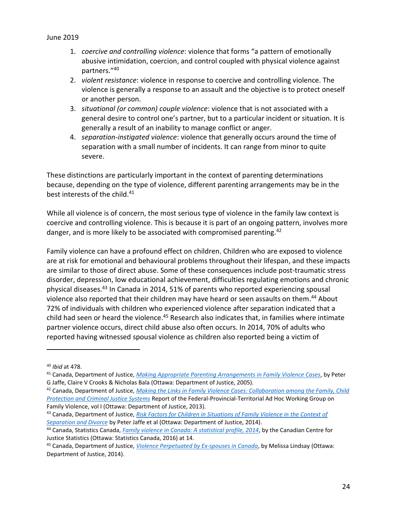- 1. *coercive and controlling violence*: violence that forms "a pattern of emotionally abusive intimidation, coercion, and control coupled with physical violence against partners." 40
- 2. *violent resistance*: violence in response to coercive and controlling violence. The violence is generally a response to an assault and the objective is to protect oneself or another person.
- 3. *situational (or common) couple violence*: violence that is not associated with a general desire to control one's partner, but to a particular incident or situation. It is generally a result of an inability to manage conflict or anger.
- 4. *separation-instigated violence*: violence that generally occurs around the time of separation with a small number of incidents. It can range from minor to quite severe.

These distinctions are particularly important in the context of parenting determinations because, depending on the type of violence, different parenting arrangements may be in the best interests of the child.<sup>41</sup>

While all violence is of concern, the most serious type of violence in the family law context is coercive and controlling violence. This is because it is part of an ongoing pattern, involves more danger, and is more likely to be associated with compromised parenting.<sup>42</sup>

Family violence can have a profound effect on children. Children who are exposed to violence are at risk for emotional and behavioural problems throughout their lifespan, and these impacts are similar to those of direct abuse. Some of these consequences include post-traumatic stress disorder, depression, low educational achievement, difficulties regulating emotions and chronic physical diseases.<sup>43</sup> In Canada in 2014, 51% of parents who reported experiencing spousal violence also reported that their children may have heard or seen assaults on them. <sup>44</sup> About 72% of individuals with children who experienced violence after separation indicated that a child had seen or heard the violence.<sup>45</sup> Research also indicates that, in families where intimate partner violence occurs, direct child abuse also often occurs. In 2014, 70% of adults who reported having witnessed spousal violence as children also reported being a victim of

<sup>40</sup> *Ibid* at 478.

<sup>41</sup> Canada, Department of Justice, *[Making Appropriate Parenting Arrangements in Family Violence Cases](http://www.justice.gc.ca/eng/rp-pr/fl-lf/parent/2005_3/index.html)*, by Peter G Jaffe, Claire V Crooks & Nicholas Bala (Ottawa: Department of Justice, 2005).

<sup>42</sup> Canada, Department of Justice, *[Making the Links in Family Violence Cases: Collaboration among the Family, Child](http://www.justice.gc.ca/eng/rp-pr/cj-jp/fv-vf/mlfvc-elcvf/mlfvc-elcvf.pdf)  [Protection and Criminal Justice Systems](http://www.justice.gc.ca/eng/rp-pr/cj-jp/fv-vf/mlfvc-elcvf/mlfvc-elcvf.pdf)* Report of the Federal-Provincial-Territorial Ad Hoc Working Group on Family Violence, vol I (Ottawa: Department of Justice, 2013).

<sup>43</sup> Canada, Department of Justice, *[Risk Factors for Children in Situations of Family Violence in](http://www.justice.gc.ca/eng/rp-pr/cj-jp/fv-vf/rfcsfv-freevf/index.html) the Context of [Separation and Divorce](http://www.justice.gc.ca/eng/rp-pr/cj-jp/fv-vf/rfcsfv-freevf/index.html)* by Peter Jaffe et al (Ottawa: Department of Justice, 2014).

<sup>44</sup> Canada, Statistics Canada, *[Family violence in Canada: A statistical profile, 2014](http://www.statcan.gc.ca/pub/85-002-x/2016001/article/14303-eng.pdf)*, by the Canadian Centre for Justice Statistics (Ottawa: Statistics Canada, 2016) at 14.

<sup>45</sup> Canada, Department of Justice, *[Violence Perpetuated by Ex-spouses in Canada](http://www.publicsafety.gc.ca/lbrr/archives/cnmcs-plcng/cn32503-eng.pdf)*, by Melissa Lindsay (Ottawa: Department of Justice, 2014).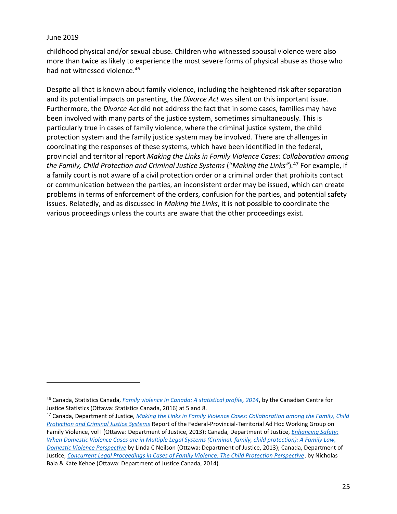$\overline{a}$ 

childhood physical and/or sexual abuse. Children who witnessed spousal violence were also more than twice as likely to experience the most severe forms of physical abuse as those who had not witnessed violence.<sup>46</sup>

Despite all that is known about family violence, including the heightened risk after separation and its potential impacts on parenting, the *Divorce Act* was silent on this important issue. Furthermore, the *Divorce Act* did not address the fact that in some cases, families may have been involved with many parts of the justice system, sometimes simultaneously. This is particularly true in cases of family violence, where the criminal justice system, the child protection system and the family justice system may be involved. There are challenges in coordinating the responses of these systems, which have been identified in the federal, provincial and territorial report *[Making the Links in Family Violence Cases: Collaboration among](http://www.justice.gc.ca/eng/rp-pr/cj-jp/fv-vf/mlfvc-elcvf/toc-tdm.html)  [the Family, Child Protection and Criminal Justice Systems](http://www.justice.gc.ca/eng/rp-pr/cj-jp/fv-vf/mlfvc-elcvf/toc-tdm.html)* ("*Making the Links"*)*.* <sup>47</sup> For example, if a family court is not aware of a civil protection order or a criminal order that prohibits contact or communication between the parties, an inconsistent order may be issued, which can create problems in terms of enforcement of the orders, confusion for the parties, and potential safety issues. Relatedly, and as discussed in *Making the Links*, it is not possible to coordinate the various proceedings unless the courts are aware that the other proceedings exist.

<sup>46</sup> Canada, Statistics Canada, *[Family violence in Canada: A statistical profile, 2014](http://www.statcan.gc.ca/pub/85-002-x/2016001/article/14303-eng.pdf)*, by the Canadian Centre for Justice Statistics (Ottawa: Statistics Canada, 2016) at 5 and 8.

<sup>47</sup> Canada, Department of Justice, *[Making the Links in Family Violence Cases: Collaboration among the Family, Child](http://www.justice.gc.ca/eng/rp-pr/cj-jp/fv-vf/mlfvc-elcvf/mlfvc-elcvf.pdf)  [Protection and Criminal Justice Systems](http://www.justice.gc.ca/eng/rp-pr/cj-jp/fv-vf/mlfvc-elcvf/mlfvc-elcvf.pdf)* Report of the Federal-Provincial-Territorial Ad Hoc Working Group on Family Violence, vol I (Ottawa: Department of Justice, 2013); Canada, Department of Justice, *[Enhancing Safety:](http://www.justice.gc.ca/eng/rp-pr/fl-lf/famil/enhan-renfo/neilson_web.pdf)  [When Domestic Violence Cases are in Multiple Legal Systems \(Criminal, family, child protection\): A Family Law,](http://www.justice.gc.ca/eng/rp-pr/fl-lf/famil/enhan-renfo/neilson_web.pdf)  [Domestic Violence Perspective](http://www.justice.gc.ca/eng/rp-pr/fl-lf/famil/enhan-renfo/neilson_web.pdf)* by Linda C Neilson (Ottawa: Department of Justice, 2013); Canada, Department of Justice, *[Concurrent Legal Proceedings in Cases of Family Violence: The Child Protection Perspective](http://www.justice.gc.ca/eng/rp-pr/fl-lf/famil/fv-vf/index.html)*, by Nicholas Bala & Kate Kehoe (Ottawa: Department of Justice Canada, 2014).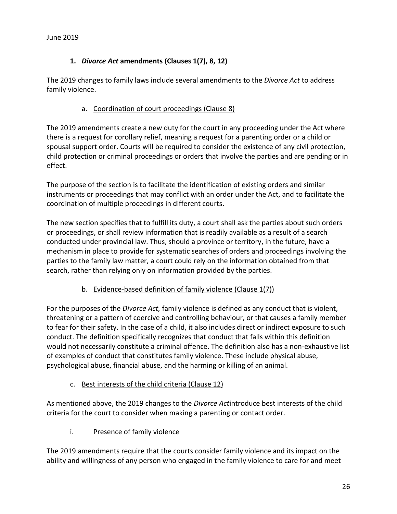#### **1.** *Divorce Act* **amendments (Clauses 1(7), 8, 12)**

<span id="page-25-0"></span>The 2019 changes to family laws include several amendments to the *Divorce Act* to address family violence.

#### a. Coordination of court proceedings (Clause 8)

The 2019 amendments create a new duty for the court in any proceeding under the Act where there is a request for corollary relief, meaning a request for a parenting order or a child or spousal support order. Courts will be required to consider the existence of any civil protection, child protection or criminal proceedings or orders that involve the parties and are pending or in effect.

The purpose of the section is to facilitate the identification of existing orders and similar instruments or proceedings that may conflict with an order under the Act, and to facilitate the coordination of multiple proceedings in different courts.

The new section specifies that to fulfill its duty, a court shall ask the parties about such orders or proceedings, or shall review information that is readily available as a result of a search conducted under provincial law. Thus, should a province or territory, in the future, have a mechanism in place to provide for systematic searches of orders and proceedings involving the parties to the family law matter, a court could rely on the information obtained from that search, rather than relying only on information provided by the parties.

#### b. Evidence-based definition of family violence (Clause 1(7))

For the purposes of the *Divorce Act,* family violence is defined as any conduct that is violent, threatening or a pattern of coercive and controlling behaviour, or that causes a family member to fear for their safety. In the case of a child, it also includes direct or indirect exposure to such conduct. The definition specifically recognizes that conduct that falls within this definition would not necessarily constitute a criminal offence. The definition also has a non-exhaustive list of examples of conduct that constitutes family violence. These include physical abuse, psychological abuse, financial abuse, and the harming or killing of an animal.

#### c. Best interests of the child criteria (Clause 12)

As mentioned above, the 2019 changes to the *Divorce Act*introduce best interests of the child criteria for the court to consider when making a parenting or contact order.

i. Presence of family violence

The 2019 amendments require that the courts consider family violence and its impact on the ability and willingness of any person who engaged in the family violence to care for and meet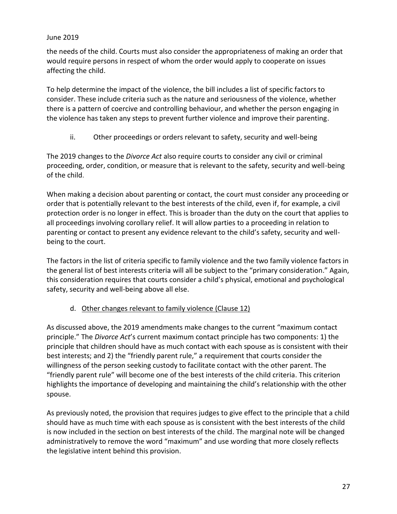the needs of the child. Courts must also consider the appropriateness of making an order that would require persons in respect of whom the order would apply to cooperate on issues affecting the child.

To help determine the impact of the violence, the bill includes a list of specific factors to consider. These include criteria such as the nature and seriousness of the violence, whether there is a pattern of coercive and controlling behaviour, and whether the person engaging in the violence has taken any steps to prevent further violence and improve their parenting.

ii. Other proceedings or orders relevant to safety, security and well-being

The 2019 changes to the *Divorce Act* also require courts to consider any civil or criminal proceeding, order, condition, or measure that is relevant to the safety, security and well-being of the child.

When making a decision about parenting or contact, the court must consider any proceeding or order that is potentially relevant to the best interests of the child, even if, for example, a civil protection order is no longer in effect. This is broader than the duty on the court that applies to all proceedings involving corollary relief. It will allow parties to a proceeding in relation to parenting or contact to present any evidence relevant to the child's safety, security and wellbeing to the court.

The factors in the list of criteria specific to family violence and the two family violence factors in the general list of best interests criteria will all be subject to the "primary consideration." Again, this consideration requires that courts consider a child's physical, emotional and psychological safety, security and well-being above all else.

## d. Other changes relevant to family violence (Clause 12)

As discussed above, the 2019 amendments make changes to the current "maximum contact principle." The *Divorce Act*'s current maximum contact principle has two components: 1) the principle that children should have as much contact with each spouse as is consistent with their best interests; and 2) the "friendly parent rule," a requirement that courts consider the willingness of the person seeking custody to facilitate contact with the other parent. The "friendly parent rule" will become one of the best interests of the child criteria. This criterion highlights the importance of developing and maintaining the child's relationship with the other spouse.

As previously noted, the provision that requires judges to give effect to the principle that a child should have as much time with each spouse as is consistent with the best interests of the child is now included in the section on best interests of the child. The marginal note will be changed administratively to remove the word "maximum" and use wording that more closely reflects the legislative intent behind this provision.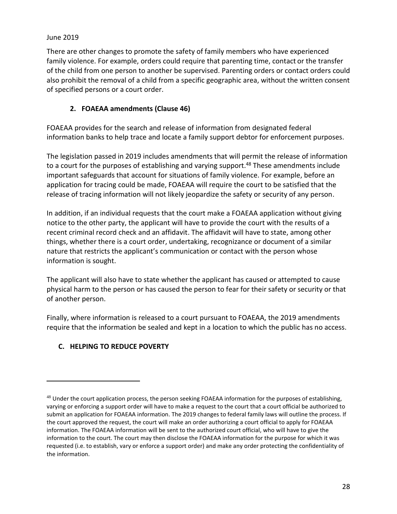There are other changes to promote the safety of family members who have experienced family violence. For example, orders could require that parenting time, contact or the transfer of the child from one person to another be supervised. Parenting orders or contact orders could also prohibit the removal of a child from a specific geographic area, without the written consent of specified persons or a court order.

## **2. FOAEAA amendments (Clause 46)**

<span id="page-27-0"></span>FOAEAA provides for the search and release of information from designated federal information banks to help trace and locate a family support debtor for enforcement purposes.

The legislation passed in 2019 includes amendments that will permit the release of information to a court for the purposes of establishing and varying support.<sup>48</sup> These amendments include important safeguards that account for situations of family violence. For example, before an application for tracing could be made, FOAEAA will require the court to be satisfied that the release of tracing information will not likely jeopardize the safety or security of any person.

In addition, if an individual requests that the court make a FOAEAA application without giving notice to the other party, the applicant will have to provide the court with the results of a recent criminal record check and an affidavit. The affidavit will have to state, among other things, whether there is a court order, undertaking, recognizance or document of a similar nature that restricts the applicant's communication or contact with the person whose information is sought.

The applicant will also have to state whether the applicant has caused or attempted to cause physical harm to the person or has caused the person to fear for their safety or security or that of another person.

Finally, where information is released to a court pursuant to FOAEAA, the 2019 amendments require that the information be sealed and kept in a location to which the public has no access.

## <span id="page-27-1"></span>**C. HELPING TO REDUCE POVERTY**

 $48$  Under the court application process, the person seeking FOAEAA information for the purposes of establishing, varying or enforcing a support order will have to make a request to the court that a court official be authorized to submit an application for FOAEAA information. The 2019 changes to federal family laws will outline the process. If the court approved the request, the court will make an order authorizing a court official to apply for FOAEAA information. The FOAEAA information will be sent to the authorized court official, who will have to give the information to the court. The court may then disclose the FOAEAA information for the purpose for which it was requested (i.e. to establish, vary or enforce a support order) and make any order protecting the confidentiality of the information.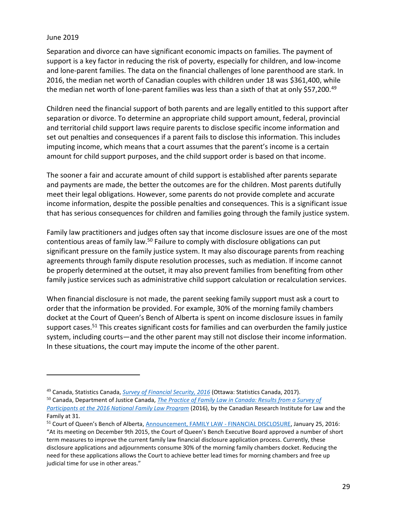$\overline{a}$ 

Separation and divorce can have significant economic impacts on families. The payment of support is a key factor in reducing the risk of poverty, especially for children, and low-income and lone-parent families. The data on the financial challenges of lone parenthood are stark. In 2016, the median net worth of Canadian couples with children under 18 was \$361,400, while the median net worth of lone-parent families was less than a sixth of that at only \$57,200.<sup>49</sup>

Children need the financial support of both parents and are legally entitled to this support after separation or divorce. To determine an appropriate child support amount, federal, provincial and territorial child support laws require parents to disclose specific income information and set out penalties and consequences if a parent fails to disclose this information. This includes imputing income, which means that a court assumes that the parent's income is a certain amount for child support purposes, and the child support order is based on that income.

The sooner a fair and accurate amount of child support is established after parents separate and payments are made, the better the outcomes are for the children. Most parents dutifully meet their legal obligations. However, some parents do not provide complete and accurate income information, despite the possible penalties and consequences. This is a significant issue that has serious consequences for children and families going through the family justice system.

Family law practitioners and judges often say that income disclosure issues are one of the most contentious areas of family law.<sup>50</sup> Failure to comply with disclosure obligations can put significant pressure on the family justice system. It may also discourage parents from reaching agreements through family dispute resolution processes, such as mediation. If income cannot be properly determined at the outset, it may also prevent families from benefiting from other family justice services such as administrative child support calculation or recalculation services.

When financial disclosure is not made, the parent seeking family support must ask a court to order that the information be provided. For example, 30% of the morning family chambers docket at the Court of Queen's Bench of Alberta is spent on income disclosure issues in family support cases.<sup>51</sup> This creates significant costs for families and can overburden the family justice system, including courts—and the other parent may still not disclose their income information. In these situations, the court may impute the income of the other parent.

<sup>49</sup> Canada, Statistics Canada, *[Survey of Financial Security, 2016](https://www150.statcan.gc.ca/n1/daily-quotidien/171207/dq171207b-eng.htm)* (Ottawa: Statistics Canada, 2017).

<sup>50</sup> Canada, Department of Justice Canada, *[The Practice of Family Law in Canada: Results from a Survey of](http://www.crilf.ca/Documents/RSD_2016_NFLP_Survey_of_Family_Court_EN.PDF)* 

*[Participants at the 2016 National Family Law Program](http://www.crilf.ca/Documents/RSD_2016_NFLP_Survey_of_Family_Court_EN.PDF)* (2016), by the Canadian Research Institute for Law and the Family at 31.

<sup>51</sup> Court of Queen's Bench of Alberta, [Announcement, FAMILY LAW -](https://albertacourts.ca/qb/resources/announcements/family-law---financial-disclosure) FINANCIAL DISCLOSURE, January 25, 2016: "At its meeting on December 9th 2015, the Court of Queen's Bench Executive Board approved a number of short term measures to improve the current family law financial disclosure application process. Currently, these disclosure applications and adjournments consume 30% of the morning family chambers docket. Reducing the need for these applications allows the Court to achieve better lead times for morning chambers and free up judicial time for use in other areas."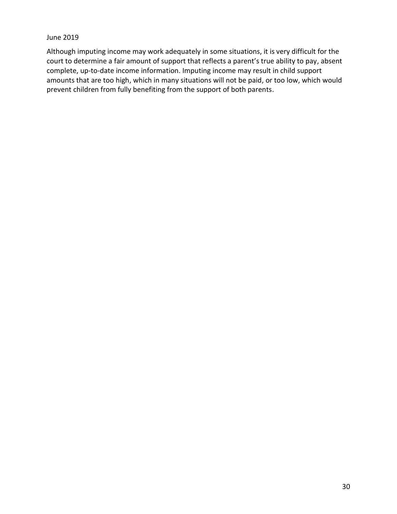Although imputing income may work adequately in some situations, it is very difficult for the court to determine a fair amount of support that reflects a parent's true ability to pay, absent complete, up-to-date income information. Imputing income may result in child support amounts that are too high, which in many situations will not be paid, or too low, which would prevent children from fully benefiting from the support of both parents.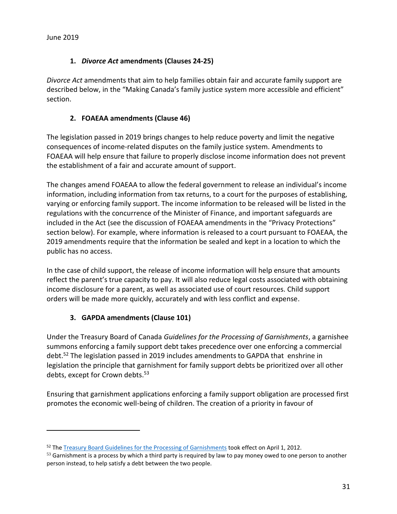$\overline{a}$ 

#### **1.** *Divorce Act* **amendments (Clauses 24-25)**

<span id="page-30-0"></span>*Divorce Act* amendments that aim to help families obtain fair and accurate family support are described below, in the "Making Canada's family justice system more accessible and efficient" section.

## **2. FOAEAA amendments (Clause 46)**

<span id="page-30-1"></span>The legislation passed in 2019 brings changes to help reduce poverty and limit the negative consequences of income-related disputes on the family justice system. Amendments to FOAEAA will help ensure that failure to properly disclose income information does not prevent the establishment of a fair and accurate amount of support.

The changes amend FOAEAA to allow the federal government to release an individual's income information, including information from tax returns, to a court for the purposes of establishing, varying or enforcing family support. The income information to be released will be listed in the regulations with the concurrence of the Minister of Finance, and important safeguards are included in the Act (see the discussion of FOAEAA amendments in the "Privacy Protections" section below). For example, where information is released to a court pursuant to FOAEAA, the 2019 amendments require that the information be sealed and kept in a location to which the public has no access.

In the case of child support, the release of income information will help ensure that amounts reflect the parent's true capacity to pay. It will also reduce legal costs associated with obtaining income disclosure for a parent, as well as associated use of court resources. Child support orders will be made more quickly, accurately and with less conflict and expense.

## **3. GAPDA amendments (Clause 101)**

<span id="page-30-2"></span>Under the Treasury Board of Canada *Guidelines for the Processing of Garnishments*, a garnishee summons enforcing a family support debt takes precedence over one enforcing a commercial debt.<sup>52</sup> The legislation passed in 2019 includes amendments to GAPDA that enshrine in legislation the principle that garnishment for family support debts be prioritized over all other debts, except for Crown debts.<sup>53</sup>

Ensuring that garnishment applications enforcing a family support obligation are processed first promotes the economic well-being of children. The creation of a priority in favour of

<sup>&</sup>lt;sup>52</sup> The [Treasury Board Guidelines for the Processing of Garnishments](http://www.tbs-sct.gc.ca/pol/doc-eng.aspx?id=25600) took effect on April 1, 2012.

 $53$  Garnishment is a process by which a third party is required by law to pay money owed to one person to another person instead, to help satisfy a debt between the two people.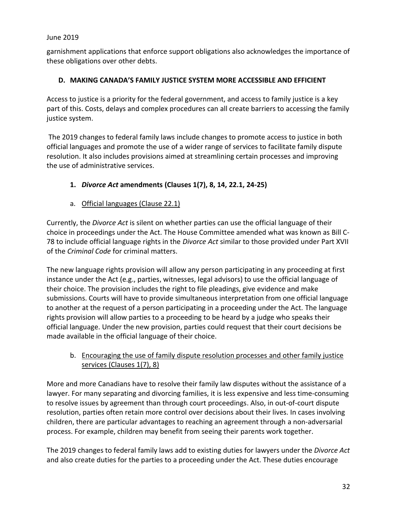garnishment applications that enforce support obligations also acknowledges the importance of these obligations over other debts.

## <span id="page-31-0"></span>**D. MAKING CANADA'S FAMILY JUSTICE SYSTEM MORE ACCESSIBLE AND EFFICIENT**

Access to justice is a priority for the federal government, and access to family justice is a key part of this. Costs, delays and complex procedures can all create barriers to accessing the family justice system.

The 2019 changes to federal family laws include changes to promote access to justice in both official languages and promote the use of a wider range of services to facilitate family dispute resolution. It also includes provisions aimed at streamlining certain processes and improving the use of administrative services.

## <span id="page-31-1"></span>**1.** *Divorce Act* **amendments (Clauses 1(7), 8, 14, 22.1, 24-25)**

a. Official languages (Clause 22.1)

Currently, the *Divorce Act* is silent on whether parties can use the official language of their choice in proceedings under the Act. The House Committee amended what was known as Bill C-78 to include official language rights in the *Divorce Act* similar to those provided under Part XVII of the *Criminal Code* for criminal matters.

The new language rights provision will allow any person participating in any proceeding at first instance under the Act (e.g., parties, witnesses, legal advisors) to use the official language of their choice. The provision includes the right to file pleadings, give evidence and make submissions. Courts will have to provide simultaneous interpretation from one official language to another at the request of a person participating in a proceeding under the Act. The language rights provision will allow parties to a proceeding to be heard by a judge who speaks their official language. Under the new provision, parties could request that their court decisions be made available in the official language of their choice.

## b. Encouraging the use of family dispute resolution processes and other family justice services (Clauses 1(7), 8)

More and more Canadians have to resolve their family law disputes without the assistance of a lawyer. For many separating and divorcing families, it is less expensive and less time-consuming to resolve issues by agreement than through court proceedings. Also, in out-of-court dispute resolution, parties often retain more control over decisions about their lives. In cases involving children, there are particular advantages to reaching an agreement through a non-adversarial process. For example, children may benefit from seeing their parents work together.

The 2019 changes to federal family laws add to existing duties for lawyers under the *Divorce Act*  and also create duties for the parties to a proceeding under the Act. These duties encourage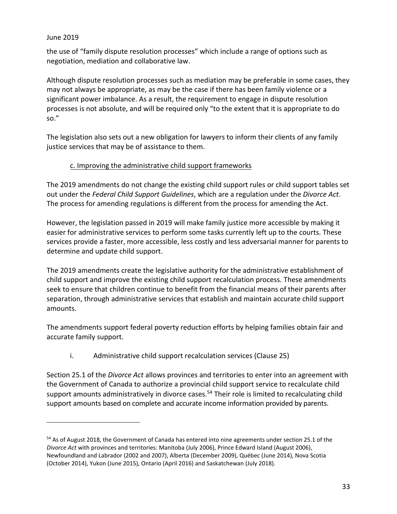$\overline{a}$ 

the use of "family dispute resolution processes" which include a range of options such as negotiation, mediation and collaborative law.

Although dispute resolution processes such as mediation may be preferable in some cases, they may not always be appropriate, as may be the case if there has been family violence or a significant power imbalance. As a result, the requirement to engage in dispute resolution processes is not absolute, and will be required only "to the extent that it is appropriate to do so."

The legislation also sets out a new obligation for lawyers to inform their clients of any family justice services that may be of assistance to them.

#### c. Improving the administrative child support frameworks

The 2019 amendments do not change the existing child support rules or child support tables set out under the *Federal Child Support Guidelines*, which are a regulation under the *Divorce Act*. The process for amending regulations is different from the process for amending the Act.

However, the legislation passed in 2019 will make family justice more accessible by making it easier for administrative services to perform some tasks currently left up to the courts. These services provide a faster, more accessible, less costly and less adversarial manner for parents to determine and update child support.

The 2019 amendments create the legislative authority for the administrative establishment of child support and improve the existing child support recalculation process. These amendments seek to ensure that children continue to benefit from the financial means of their parents after separation, through administrative services that establish and maintain accurate child support amounts.

The amendments support federal poverty reduction efforts by helping families obtain fair and accurate family support.

i. Administrative child support recalculation services (Clause 25)

Section 25.1 of the *Divorce Act* allows provinces and territories to enter into an agreement with the Government of Canada to authorize a provincial child support service to recalculate child support amounts administratively in divorce cases.<sup>54</sup> Their role is limited to recalculating child support amounts based on complete and accurate income information provided by parents.

<sup>&</sup>lt;sup>54</sup> As of August 2018, the Government of Canada has entered into nine agreements under section 25.1 of the *Divorce Act* with provinces and territories: Manitoba (July 2006), Prince Edward Island (August 2006), Newfoundland and Labrador (2002 and 2007), Alberta (December 2009), Québec (June 2014), Nova Scotia (October 2014), Yukon (June 2015), Ontario (April 2016) and Saskatchewan (July 2018).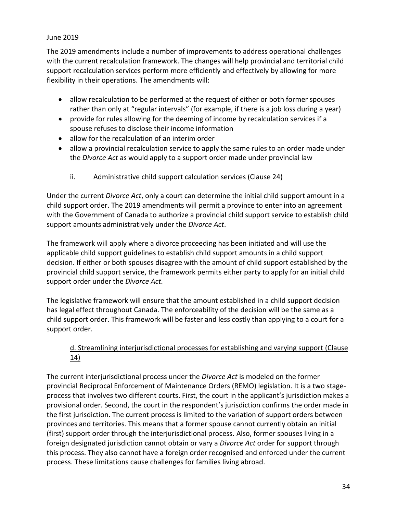The 2019 amendments include a number of improvements to address operational challenges with the current recalculation framework. The changes will help provincial and territorial child support recalculation services perform more efficiently and effectively by allowing for more flexibility in their operations. The amendments will:

- allow recalculation to be performed at the request of either or both former spouses rather than only at "regular intervals" (for example, if there is a job loss during a year)
- provide for rules allowing for the deeming of income by recalculation services if a spouse refuses to disclose their income information
- allow for the recalculation of an interim order
- allow a provincial recalculation service to apply the same rules to an order made under the *Divorce Act* as would apply to a support order made under provincial law
	- ii. Administrative child support calculation services (Clause 24)

Under the current *Divorce Act*, only a court can determine the initial child support amount in a child support order. The 2019 amendments will permit a province to enter into an agreement with the Government of Canada to authorize a provincial child support service to establish child support amounts administratively under the *Divorce Act*.

The framework will apply where a divorce proceeding has been initiated and will use the applicable child support guidelines to establish child support amounts in a child support decision. If either or both spouses disagree with the amount of child support established by the provincial child support service, the framework permits either party to apply for an initial child support order under the *Divorce Act.* 

The legislative framework will ensure that the amount established in a child support decision has legal effect throughout Canada. The enforceability of the decision will be the same as a child support order. This framework will be faster and less costly than applying to a court for a support order.

## d. Streamlining interjurisdictional processes for establishing and varying support (Clause 14)

The current interjurisdictional process under the *Divorce Act* is modeled on the former provincial Reciprocal Enforcement of Maintenance Orders (REMO) legislation. It is a two stageprocess that involves two different courts. First, the court in the applicant's jurisdiction makes a provisional order. Second, the court in the respondent's jurisdiction confirms the order made in the first jurisdiction. The current process is limited to the variation of support orders between provinces and territories. This means that a former spouse cannot currently obtain an initial (first) support order through the interjurisdictional process. Also, former spouses living in a foreign designated jurisdiction cannot obtain or vary a *Divorce Act* order for support through this process. They also cannot have a foreign order recognised and enforced under the current process. These limitations cause challenges for families living abroad.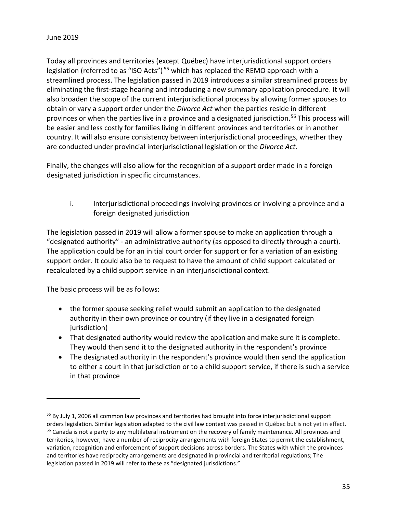Today all provinces and territories (except Québec) have interjurisdictional support orders legislation (referred to as "ISO Acts")<sup>55</sup> which has replaced the REMO approach with a streamlined process. The legislation passed in 2019 introduces a similar streamlined process by eliminating the first-stage hearing and introducing a new summary application procedure. It will also broaden the scope of the current interjurisdictional process by allowing former spouses to obtain or vary a support order under the *Divorce Act* when the parties reside in different provinces or when the parties live in a province and a designated jurisdiction.<sup>56</sup> This process will be easier and less costly for families living in different provinces and territories or in another country. It will also ensure consistency between interjurisdictional proceedings, whether they are conducted under provincial interjurisdictional legislation or the *Divorce Act*.

Finally, the changes will also allow for the recognition of a support order made in a foreign designated jurisdiction in specific circumstances.

i. Interjurisdictional proceedings involving provinces or involving a province and a foreign designated jurisdiction

The legislation passed in 2019 will allow a former spouse to make an application through a "designated authority" - an administrative authority (as opposed to directly through a court). The application could be for an initial court order for support or for a variation of an existing support order. It could also be to request to have the amount of child support calculated or recalculated by a child support service in an interjurisdictional context.

The basic process will be as follows:

- the former spouse seeking relief would submit an application to the designated authority in their own province or country (if they live in a designated foreign jurisdiction)
- That designated authority would review the application and make sure it is complete. They would then send it to the designated authority in the respondent's province
- The designated authority in the respondent's province would then send the application to either a court in that jurisdiction or to a child support service, if there is such a service in that province

<sup>&</sup>lt;sup>55</sup> By July 1, 2006 all common law provinces and territories had brought into force interjurisdictional support orders legislation. Similar legislation adapted to the civil law context was passed in Québec but is not yet in effect. <sup>56</sup> Canada is not a party to any multilateral instrument on the recovery of family maintenance. All provinces and territories, however, have a number of reciprocity arrangements with foreign States to permit the establishment, variation, recognition and enforcement of support decisions across borders. The States with which the provinces and territories have reciprocity arrangements are designated in provincial and territorial regulations; The legislation passed in 2019 will refer to these as "designated jurisdictions."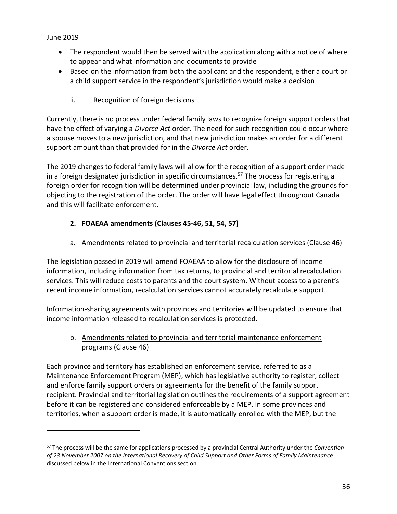$\overline{a}$ 

- The respondent would then be served with the application along with a notice of where to appear and what information and documents to provide
- Based on the information from both the applicant and the respondent, either a court or a child support service in the respondent's jurisdiction would make a decision
	- ii. Recognition of foreign decisions

Currently, there is no process under federal family laws to recognize foreign support orders that have the effect of varying a *Divorce Act* order. The need for such recognition could occur where a spouse moves to a new jurisdiction, and that new jurisdiction makes an order for a different support amount than that provided for in the *Divorce Act* order.

The 2019 changes to federal family laws will allow for the recognition of a support order made in a foreign designated jurisdiction in specific circumstances. <sup>57</sup> The process for registering a foreign order for recognition will be determined under provincial law, including the grounds for objecting to the registration of the order. The order will have legal effect throughout Canada and this will facilitate enforcement.

# <span id="page-35-0"></span>**2. FOAEAA amendments (Clauses 45-46, 51, 54, 57)**

## a. Amendments related to provincial and territorial recalculation services (Clause 46)

The legislation passed in 2019 will amend FOAEAA to allow for the disclosure of income information, including information from tax returns, to provincial and territorial recalculation services. This will reduce costs to parents and the court system. Without access to a parent's recent income information, recalculation services cannot accurately recalculate support.

Information-sharing agreements with provinces and territories will be updated to ensure that income information released to recalculation services is protected.

## b. Amendments related to provincial and territorial maintenance enforcement programs (Clause 46)

Each province and territory has established an enforcement service, referred to as a Maintenance Enforcement Program (MEP), which has legislative authority to register, collect and enforce family support orders or agreements for the benefit of the family support recipient. Provincial and territorial legislation outlines the requirements of a support agreement before it can be registered and considered enforceable by a MEP. In some provinces and territories, when a support order is made, it is automatically enrolled with the MEP, but the

<sup>57</sup> The process will be the same for applications processed by a provincial Central Authority under the *Convention of 23 November 2007 on the International Recovery of Child Support and Other Forms of Family Maintenance*, discussed below in the International Conventions section.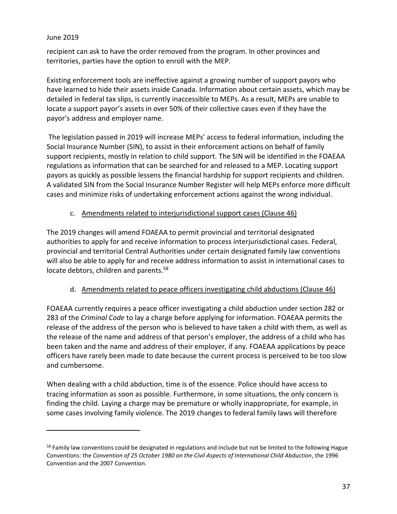$\overline{a}$ 

recipient can ask to have the order removed from the program. In other provinces and territories, parties have the option to enroll with the MEP.

Existing enforcement tools are ineffective against a growing number of support payors who have learned to hide their assets inside Canada. Information about certain assets, which may be detailed in federal tax slips, is currently inaccessible to MEPs. As a result, MEPs are unable to locate a support payor's assets in over 50% of their collective cases even if they have the payor's address and employer name.

The legislation passed in 2019 will increase MEPs' access to federal information, including the Social Insurance Number (SIN), to assist in their enforcement actions on behalf of family support recipients, mostly in relation to child support. The SIN will be identified in the FOAEAA regulations as information that can be searched for and released to a MEP. Locating support payors as quickly as possible lessens the financial hardship for support recipients and children. A validated SIN from the Social Insurance Number Register will help MEPs enforce more difficult cases and minimize risks of undertaking enforcement actions against the wrong individual.

## c. Amendments related to interjurisdictional support cases (Clause 46)

The 2019 changes will amend FOAEAA to permit provincial and territorial designated authorities to apply for and receive information to process interjurisdictional cases. Federal, provincial and territorial Central Authorities under certain designated family law conventions will also be able to apply for and receive address information to assist in international cases to locate debtors, children and parents.<sup>58</sup>

#### d. Amendments related to peace officers investigating child abductions (Clause 46)

FOAEAA currently requires a peace officer investigating a child abduction under section 282 or 283 of the *Criminal Code* to lay a charge before applying for information. FOAEAA permits the release of the address of the person who is believed to have taken a child with them, as well as the release of the name and address of that person's employer, the address of a child who has been taken and the name and address of their employer, if any. FOAEAA applications by peace officers have rarely been made to date because the current process is perceived to be too slow and cumbersome.

When dealing with a child abduction, time is of the essence. Police should have access to tracing information as soon as possible. Furthermore, in some situations, the only concern is finding the child. Laying a charge may be premature or wholly inappropriate, for example, in some cases involving family violence. The 2019 changes to federal family laws will therefore

<sup>&</sup>lt;sup>58</sup> Family law conventions could be designated in regulations and include but not be limited to the following Hague Conventions: the *Convention of 25 October 1980 on the Civil Aspects of International Child Abduction*, the 1996 Convention and the 2007 Convention.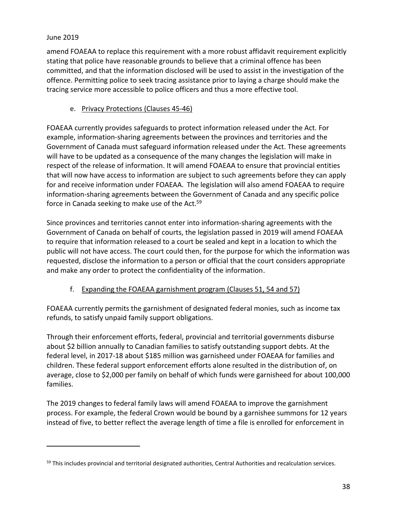$\overline{a}$ 

amend FOAEAA to replace this requirement with a more robust affidavit requirement explicitly stating that police have reasonable grounds to believe that a criminal offence has been committed, and that the information disclosed will be used to assist in the investigation of the offence. Permitting police to seek tracing assistance prior to laying a charge should make the tracing service more accessible to police officers and thus a more effective tool.

## e. Privacy Protections (Clauses 45-46)

FOAEAA currently provides safeguards to protect information released under the Act. For example, information-sharing agreements between the provinces and territories and the Government of Canada must safeguard information released under the Act. These agreements will have to be updated as a consequence of the many changes the legislation will make in respect of the release of information. It will amend FOAEAA to ensure that provincial entities that will now have access to information are subject to such agreements before they can apply for and receive information under FOAEAA. The legislation will also amend FOAEAA to require information-sharing agreements between the Government of Canada and any specific police force in Canada seeking to make use of the Act.<sup>59</sup>

Since provinces and territories cannot enter into information-sharing agreements with the Government of Canada on behalf of courts, the legislation passed in 2019 will amend FOAEAA to require that information released to a court be sealed and kept in a location to which the public will not have access. The court could then, for the purpose for which the information was requested, disclose the information to a person or official that the court considers appropriate and make any order to protect the confidentiality of the information.

# f. Expanding the FOAEAA garnishment program (Clauses 51, 54 and 57)

FOAEAA currently permits the garnishment of designated federal monies, such as income tax refunds, to satisfy unpaid family support obligations.

Through their enforcement efforts, federal, provincial and territorial governments disburse about \$2 billion annually to Canadian families to satisfy outstanding support debts. At the federal level, in 2017-18 about \$185 million was garnisheed under FOAEAA for families and children. These federal support enforcement efforts alone resulted in the distribution of, on average, close to \$2,000 per family on behalf of which funds were garnisheed for about 100,000 families.

The 2019 changes to federal family laws will amend FOAEAA to improve the garnishment process. For example, the federal Crown would be bound by a garnishee summons for 12 years instead of five, to better reflect the average length of time a file is enrolled for enforcement in

<sup>&</sup>lt;sup>59</sup> This includes provincial and territorial designated authorities, Central Authorities and recalculation services.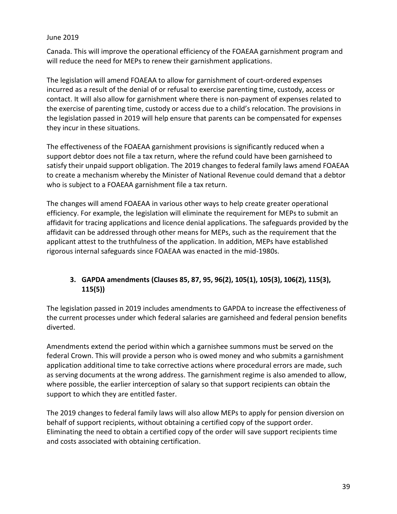Canada. This will improve the operational efficiency of the FOAEAA garnishment program and will reduce the need for MEPs to renew their garnishment applications.

The legislation will amend FOAEAA to allow for garnishment of court-ordered expenses incurred as a result of the denial of or refusal to exercise parenting time, custody, access or contact. It will also allow for garnishment where there is non-payment of expenses related to the exercise of parenting time, custody or access due to a child's relocation. The provisions in the legislation passed in 2019 will help ensure that parents can be compensated for expenses they incur in these situations.

The effectiveness of the FOAEAA garnishment provisions is significantly reduced when a support debtor does not file a tax return, where the refund could have been garnisheed to satisfy their unpaid support obligation. The 2019 changes to federal family laws amend FOAEAA to create a mechanism whereby the Minister of National Revenue could demand that a debtor who is subject to a FOAEAA garnishment file a tax return.

The changes will amend FOAEAA in various other ways to help create greater operational efficiency. For example, the legislation will eliminate the requirement for MEPs to submit an affidavit for tracing applications and licence denial applications. The safeguards provided by the affidavit can be addressed through other means for MEPs, such as the requirement that the applicant attest to the truthfulness of the application. In addition, MEPs have established rigorous internal safeguards since FOAEAA was enacted in the mid-1980s.

## <span id="page-38-0"></span>**3. GAPDA amendments (Clauses 85, 87, 95, 96(2), 105(1), 105(3), 106(2), 115(3), 115(5))**

The legislation passed in 2019 includes amendments to GAPDA to increase the effectiveness of the current processes under which federal salaries are garnisheed and federal pension benefits diverted.

Amendments extend the period within which a garnishee summons must be served on the federal Crown. This will provide a person who is owed money and who submits a garnishment application additional time to take corrective actions where procedural errors are made, such as serving documents at the wrong address. The garnishment regime is also amended to allow, where possible, the earlier interception of salary so that support recipients can obtain the support to which they are entitled faster.

The 2019 changes to federal family laws will also allow MEPs to apply for pension diversion on behalf of support recipients, without obtaining a certified copy of the support order. Eliminating the need to obtain a certified copy of the order will save support recipients time and costs associated with obtaining certification.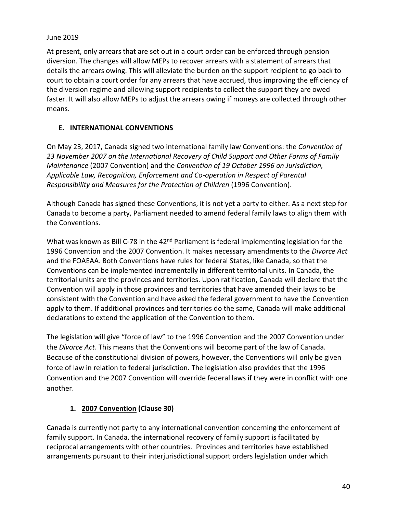At present, only arrears that are set out in a court order can be enforced through pension diversion. The changes will allow MEPs to recover arrears with a statement of arrears that details the arrears owing. This will alleviate the burden on the support recipient to go back to court to obtain a court order for any arrears that have accrued, thus improving the efficiency of the diversion regime and allowing support recipients to collect the support they are owed faster. It will also allow MEPs to adjust the arrears owing if moneys are collected through other means.

## <span id="page-39-0"></span>**E. INTERNATIONAL CONVENTIONS**

On May 23, 2017, Canada signed two international family law Conventions: the *Convention of 23 November 2007 on the International Recovery of Child Support and Other Forms of Family Maintenance* (2007 Convention) and the *Convention of 19 October 1996 on Jurisdiction, Applicable Law, Recognition, Enforcement and Co-operation in Respect of Parental Responsibility and Measures for the Protection of Children* (1996 Convention).

Although Canada has signed these Conventions, it is not yet a party to either. As a next step for Canada to become a party, Parliament needed to amend federal family laws to align them with the Conventions.

What was known as Bill C-78 in the 42<sup>nd</sup> Parliament is federal implementing legislation for the 1996 Convention and the 2007 Convention. It makes necessary amendments to the *Divorce Act*  and the FOAEAA. Both Conventions have rules for federal States, like Canada, so that the Conventions can be implemented incrementally in different territorial units. In Canada, the territorial units are the provinces and territories. Upon ratification, Canada will declare that the Convention will apply in those provinces and territories that have amended their laws to be consistent with the Convention and have asked the federal government to have the Convention apply to them. If additional provinces and territories do the same, Canada will make additional declarations to extend the application of the Convention to them.

The legislation will give "force of law" to the 1996 Convention and the 2007 Convention under the *Divorce Act*. This means that the Conventions will become part of the law of Canada. Because of the constitutional division of powers, however, the Conventions will only be given force of law in relation to federal jurisdiction. The legislation also provides that the 1996 Convention and the 2007 Convention will override federal laws if they were in conflict with one another.

# **1. 2007 Convention (Clause 30)**

<span id="page-39-1"></span>Canada is currently not party to any international convention concerning the enforcement of family support. In Canada, the international recovery of family support is facilitated by reciprocal arrangements with other countries. Provinces and territories have established arrangements pursuant to their interjurisdictional support orders legislation under which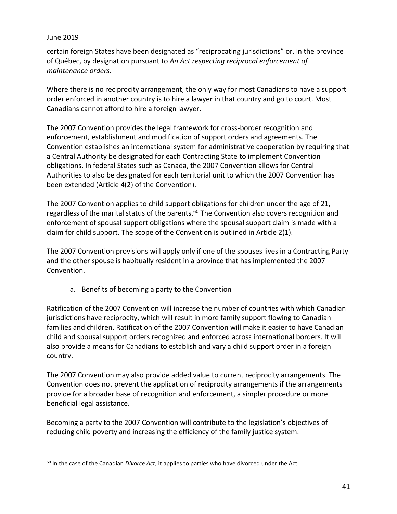$\overline{a}$ 

certain foreign States have been designated as "reciprocating jurisdictions" or, in the province of Québec, by designation pursuant to *An Act respecting reciprocal enforcement of maintenance orders*.

Where there is no reciprocity arrangement, the only way for most Canadians to have a support order enforced in another country is to hire a lawyer in that country and go to court. Most Canadians cannot afford to hire a foreign lawyer.

The 2007 Convention provides the legal framework for cross-border recognition and enforcement, establishment and modification of support orders and agreements. The Convention establishes an international system for administrative cooperation by requiring that a Central Authority be designated for each Contracting State to implement Convention obligations. In federal States such as Canada, the 2007 Convention allows for Central Authorities to also be designated for each territorial unit to which the 2007 Convention has been extended (Article 4(2) of the Convention).

The 2007 Convention applies to child support obligations for children under the age of 21, regardless of the marital status of the parents.<sup>60</sup> The Convention also covers recognition and enforcement of spousal support obligations where the spousal support claim is made with a claim for child support. The scope of the Convention is outlined in Article 2(1).

The 2007 Convention provisions will apply only if one of the spouses lives in a Contracting Party and the other spouse is habitually resident in a province that has implemented the 2007 Convention.

#### a. Benefits of becoming a party to the Convention

Ratification of the 2007 Convention will increase the number of countries with which Canadian jurisdictions have reciprocity, which will result in more family support flowing to Canadian families and children. Ratification of the 2007 Convention will make it easier to have Canadian child and spousal support orders recognized and enforced across international borders. It will also provide a means for Canadians to establish and vary a child support order in a foreign country.

The 2007 Convention may also provide added value to current reciprocity arrangements. The Convention does not prevent the application of reciprocity arrangements if the arrangements provide for a broader base of recognition and enforcement, a simpler procedure or more beneficial legal assistance.

Becoming a party to the 2007 Convention will contribute to the legislation's objectives of reducing child poverty and increasing the efficiency of the family justice system.

<sup>60</sup> In the case of the Canadian *Divorce Act*, it applies to parties who have divorced under the Act.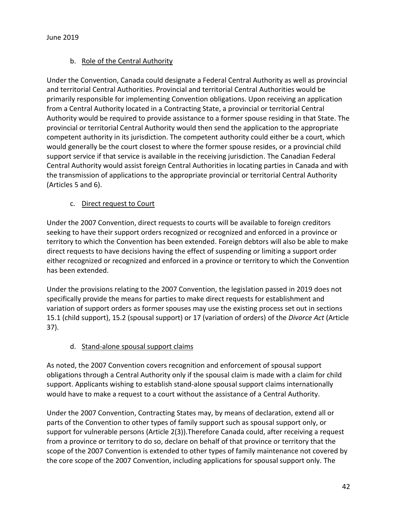## b. Role of the Central Authority

Under the Convention, Canada could designate a Federal Central Authority as well as provincial and territorial Central Authorities. Provincial and territorial Central Authorities would be primarily responsible for implementing Convention obligations. Upon receiving an application from a Central Authority located in a Contracting State, a provincial or territorial Central Authority would be required to provide assistance to a former spouse residing in that State. The provincial or territorial Central Authority would then send the application to the appropriate competent authority in its jurisdiction. The competent authority could either be a court, which would generally be the court closest to where the former spouse resides, or a provincial child support service if that service is available in the receiving jurisdiction. The Canadian Federal Central Authority would assist foreign Central Authorities in locating parties in Canada and with the transmission of applications to the appropriate provincial or territorial Central Authority (Articles 5 and 6).

## c. Direct request to Court

Under the 2007 Convention, direct requests to courts will be available to foreign creditors seeking to have their support orders recognized or recognized and enforced in a province or territory to which the Convention has been extended. Foreign debtors will also be able to make direct requests to have decisions having the effect of suspending or limiting a support order either recognized or recognized and enforced in a province or territory to which the Convention has been extended.

Under the provisions relating to the 2007 Convention, the legislation passed in 2019 does not specifically provide the means for parties to make direct requests for establishment and variation of support orders as former spouses may use the existing process set out in sections 15.1 (child support), 15.2 (spousal support) or 17 (variation of orders) of the *Divorce Act* (Article 37).

## d. Stand-alone spousal support claims

As noted, the 2007 Convention covers recognition and enforcement of spousal support obligations through a Central Authority only if the spousal claim is made with a claim for child support. Applicants wishing to establish stand-alone spousal support claims internationally would have to make a request to a court without the assistance of a Central Authority.

Under the 2007 Convention, Contracting States may, by means of declaration, extend all or parts of the Convention to other types of family support such as spousal support only, or support for vulnerable persons (Article 2(3)).Therefore Canada could, after receiving a request from a province or territory to do so, declare on behalf of that province or territory that the scope of the 2007 Convention is extended to other types of family maintenance not covered by the core scope of the 2007 Convention, including applications for spousal support only. The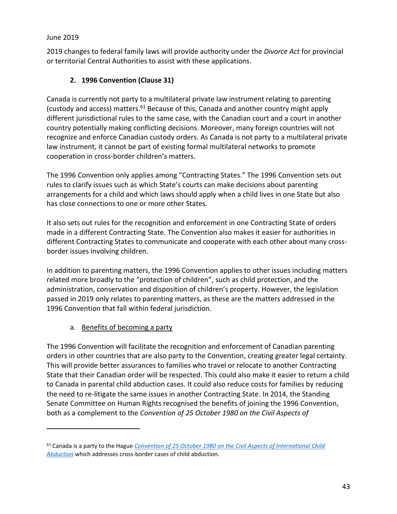$\overline{a}$ 

2019 changes to federal family laws will provide authority under the *Divorce Act* for provincial or territorial Central Authorities to assist with these applications.

## **2. 1996 Convention (Clause 31)**

<span id="page-42-0"></span>Canada is currently not party to a multilateral private law instrument relating to parenting (custody and access) matters.<sup>61</sup> Because of this, Canada and another country might apply different jurisdictional rules to the same case, with the Canadian court and a court in another country potentially making conflicting decisions. Moreover, many foreign countries will not recognize and enforce Canadian custody orders. As Canada is not party to a multilateral private law instrument, it cannot be part of existing formal multilateral networks to promote cooperation in cross-border children's matters.

The 1996 Convention only applies among "Contracting States." The 1996 Convention sets out rules to clarify issues such as which State's courts can make decisions about parenting arrangements for a child and which laws should apply when a child lives in one State but also has close connections to one or more other States.

It also sets out rules for the recognition and enforcement in one Contracting State of orders made in a different Contracting State. The Convention also makes it easier for authorities in different Contracting States to communicate and cooperate with each other about many crossborder issues involving children.

In addition to parenting matters, the 1996 Convention applies to other issues including matters related more broadly to the "protection of children", such as child protection, and the administration, conservation and disposition of children's property. However, the legislation passed in 2019 only relates to parenting matters, as these are the matters addressed in the 1996 Convention that fall within federal jurisdiction.

a. Benefits of becoming a party

The 1996 Convention will facilitate the recognition and enforcement of Canadian parenting orders in other countries that are also party to the Convention, creating greater legal certainty. This will provide better assurances to families who travel or relocate to another Contracting State that their Canadian order will be respected. This could also make it easier to return a child to Canada in parental child abduction cases. It could also reduce costs for families by reducing the need to re-litigate the same issues in another Contracting State. In 2014, the Standing Senate Committee on Human Rights recognised the benefits of joining the 1996 Convention, both as a complement to the *Convention of 25 October 1980 on the Civil Aspects of* 

<sup>61</sup> Canada is a party to the Hague *[Convention of 25 October 1980 on the Civil Aspects of International Child](https://www.hcch.net/en/instruments/conventions/full-text/?cid=24)  [Abduction](https://www.hcch.net/en/instruments/conventions/full-text/?cid=24)* which addresses cross-border cases of child abduction.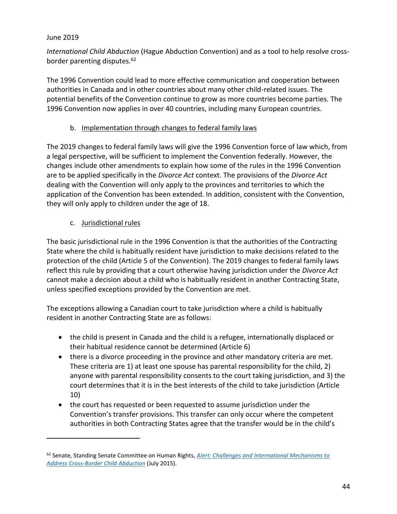$\overline{a}$ 

*International Child Abduction* (Hague Abduction Convention) and as a tool to help resolve crossborder parenting disputes.<sup>62</sup>

The 1996 Convention could lead to more effective communication and cooperation between authorities in Canada and in other countries about many other child-related issues. The potential benefits of the Convention continue to grow as more countries become parties. The 1996 Convention now applies in over 40 countries, including many European countries.

## b. Implementation through changes to federal family laws

The 2019 changes to federal family laws will give the 1996 Convention force of law which, from a legal perspective, will be sufficient to implement the Convention federally. However, the changes include other amendments to explain how some of the rules in the 1996 Convention are to be applied specifically in the *Divorce Act* context. The provisions of the *Divorce Act*  dealing with the Convention will only apply to the provinces and territories to which the application of the Convention has been extended. In addition, consistent with the Convention, they will only apply to children under the age of 18.

## c. Jurisdictional rules

The basic jurisdictional rule in the 1996 Convention is that the authorities of the Contracting State where the child is habitually resident have jurisdiction to make decisions related to the protection of the child (Article 5 of the Convention). The 2019 changes to federal family laws reflect this rule by providing that a court otherwise having jurisdiction under the *Divorce Act*  cannot make a decision about a child who is habitually resident in another Contracting State, unless specified exceptions provided by the Convention are met.

The exceptions allowing a Canadian court to take jurisdiction where a child is habitually resident in another Contracting State are as follows:

- the child is present in Canada and the child is a refugee, internationally displaced or their habitual residence cannot be determined (Article 6)
- there is a divorce proceeding in the province and other mandatory criteria are met. These criteria are 1) at least one spouse has parental responsibility for the child, 2) anyone with parental responsibility consents to the court taking jurisdiction, and 3) the court determines that it is in the best interests of the child to take jurisdiction (Article 10)
- the court has requested or been requested to assume jurisdiction under the Convention's transfer provisions. This transfer can only occur where the competent authorities in both Contracting States agree that the transfer would be in the child's

<sup>62</sup> Senate, Standing Senate Committee on Human Rights, *[Alert: Challenges and International Mechanisms to](https://sencanada.ca/Content/SEN/Committee/412/ridr/rep/rep13jul15-e.pdf)  [Address Cross-Border Child Abduction](https://sencanada.ca/Content/SEN/Committee/412/ridr/rep/rep13jul15-e.pdf)* (July 2015).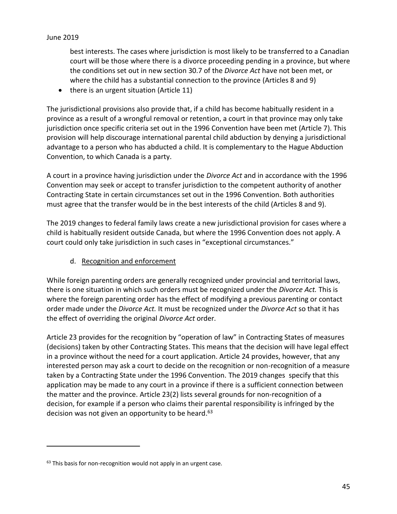best interests. The cases where jurisdiction is most likely to be transferred to a Canadian court will be those where there is a divorce proceeding pending in a province, but where the conditions set out in new section 30.7 of the *Divorce Act* have not been met, or where the child has a substantial connection to the province (Articles 8 and 9)

 $\bullet$  there is an urgent situation (Article 11)

The jurisdictional provisions also provide that, if a child has become habitually resident in a province as a result of a wrongful removal or retention, a court in that province may only take jurisdiction once specific criteria set out in the 1996 Convention have been met (Article 7). This provision will help discourage international parental child abduction by denying a jurisdictional advantage to a person who has abducted a child. It is complementary to the Hague Abduction Convention, to which Canada is a party.

A court in a province having jurisdiction under the *Divorce Act* and in accordance with the 1996 Convention may seek or accept to transfer jurisdiction to the competent authority of another Contracting State in certain circumstances set out in the 1996 Convention. Both authorities must agree that the transfer would be in the best interests of the child (Articles 8 and 9).

The 2019 changes to federal family laws create a new jurisdictional provision for cases where a child is habitually resident outside Canada, but where the 1996 Convention does not apply. A court could only take jurisdiction in such cases in "exceptional circumstances."

## d. Recognition and enforcement

While foreign parenting orders are generally recognized under provincial and territorial laws, there is one situation in which such orders must be recognized under the *Divorce Act.* This is where the foreign parenting order has the effect of modifying a previous parenting or contact order made under the *Divorce Act.* It must be recognized under the *Divorce Act* so that it has the effect of overriding the original *Divorce Act* order*.* 

Article 23 provides for the recognition by "operation of law" in Contracting States of measures (decisions) taken by other Contracting States. This means that the decision will have legal effect in a province without the need for a court application. Article 24 provides, however, that any interested person may ask a court to decide on the recognition or non-recognition of a measure taken by a Contracting State under the 1996 Convention. The 2019 changes specify that this application may be made to any court in a province if there is a sufficient connection between the matter and the province. Article 23(2) lists several grounds for non-recognition of a decision, for example if a person who claims their parental responsibility is infringed by the decision was not given an opportunity to be heard.<sup>63</sup>

 $63$  This basis for non-recognition would not apply in an urgent case.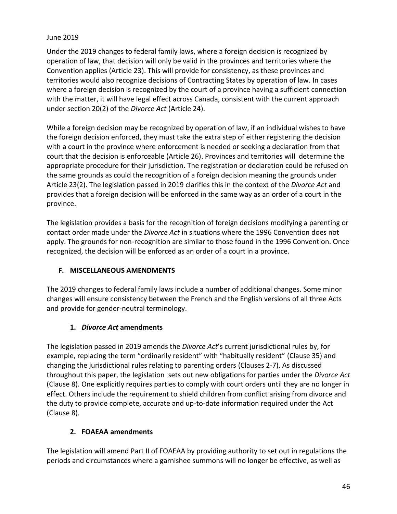Under the 2019 changes to federal family laws, where a foreign decision is recognized by operation of law, that decision will only be valid in the provinces and territories where the Convention applies (Article 23). This will provide for consistency, as these provinces and territories would also recognize decisions of Contracting States by operation of law. In cases where a foreign decision is recognized by the court of a province having a sufficient connection with the matter, it will have legal effect across Canada, consistent with the current approach under section 20(2) of the *Divorce Act* (Article 24).

While a foreign decision may be recognized by operation of law, if an individual wishes to have the foreign decision enforced, they must take the extra step of either registering the decision with a court in the province where enforcement is needed or seeking a declaration from that court that the decision is enforceable (Article 26). Provinces and territories will determine the appropriate procedure for their jurisdiction. The registration or declaration could be refused on the same grounds as could the recognition of a foreign decision meaning the grounds under Article 23(2). The legislation passed in 2019 clarifies this in the context of the *Divorce Act* and provides that a foreign decision will be enforced in the same way as an order of a court in the province.

The legislation provides a basis for the recognition of foreign decisions modifying a parenting or contact order made under the *Divorce Act* in situations where the 1996 Convention does not apply. The grounds for non-recognition are similar to those found in the 1996 Convention. Once recognized, the decision will be enforced as an order of a court in a province.

## <span id="page-45-0"></span>**F. MISCELLANEOUS AMENDMENTS**

The 2019 changes to federal family laws include a number of additional changes. Some minor changes will ensure consistency between the French and the English versions of all three Acts and provide for gender-neutral terminology.

## **1.** *Divorce Act* **amendments**

<span id="page-45-1"></span>The legislation passed in 2019 amends the *Divorce Act*'s current jurisdictional rules by, for example, replacing the term "ordinarily resident" with "habitually resident" (Clause 35) and changing the jurisdictional rules relating to parenting orders (Clauses 2-7). As discussed throughout this paper, the legislation sets out new obligations for parties under the *Divorce Act* (Clause 8). One explicitly requires parties to comply with court orders until they are no longer in effect. Others include the requirement to shield children from conflict arising from divorce and the duty to provide complete, accurate and up-to-date information required under the Act (Clause 8).

#### **2. FOAEAA amendments**

<span id="page-45-2"></span>The legislation will amend Part II of FOAEAA by providing authority to set out in regulations the periods and circumstances where a garnishee summons will no longer be effective, as well as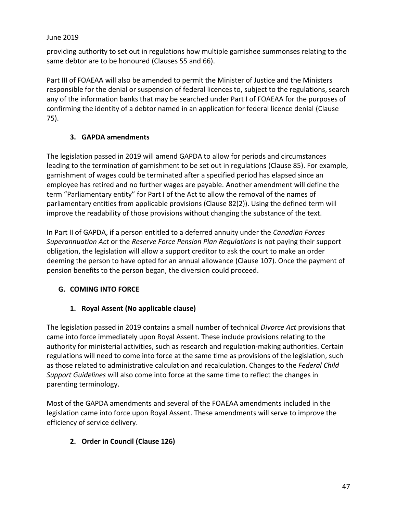providing authority to set out in regulations how multiple garnishee summonses relating to the same debtor are to be honoured (Clauses 55 and 66).

Part III of FOAEAA will also be amended to permit the Minister of Justice and the Ministers responsible for the denial or suspension of federal licences to, subject to the regulations, search any of the information banks that may be searched under Part I of FOAEAA for the purposes of confirming the identity of a debtor named in an application for federal licence denial (Clause 75).

## **3. GAPDA amendments**

<span id="page-46-0"></span>The legislation passed in 2019 will amend GAPDA to allow for periods and circumstances leading to the termination of garnishment to be set out in regulations (Clause 85). For example, garnishment of wages could be terminated after a specified period has elapsed since an employee has retired and no further wages are payable. Another amendment will define the term "Parliamentary entity" for Part I of the Act to allow the removal of the names of parliamentary entities from applicable provisions (Clause 82(2)). Using the defined term will improve the readability of those provisions without changing the substance of the text.

In Part II of GAPDA, if a person entitled to a deferred annuity under the *Canadian Forces Superannuation Act* or the *Reserve Force Pension Plan Regulations* is not paying their support obligation, the legislation will allow a support creditor to ask the court to make an order deeming the person to have opted for an annual allowance (Clause 107). Once the payment of pension benefits to the person began, the diversion could proceed.

## <span id="page-46-1"></span>**G. COMING INTO FORCE**

# **1. Royal Assent (No applicable clause)**

<span id="page-46-2"></span>The legislation passed in 2019 contains a small number of technical *Divorce Act* provisions that came into force immediately upon Royal Assent. These include provisions relating to the authority for ministerial activities, such as research and regulation-making authorities. Certain regulations will need to come into force at the same time as provisions of the legislation, such as those related to administrative calculation and recalculation. Changes to the *Federal Child Support Guidelines* will also come into force at the same time to reflect the changes in parenting terminology.

Most of the GAPDA amendments and several of the FOAEAA amendments included in the legislation came into force upon Royal Assent. These amendments will serve to improve the efficiency of service delivery.

## <span id="page-46-3"></span>**2. Order in Council (Clause 126)**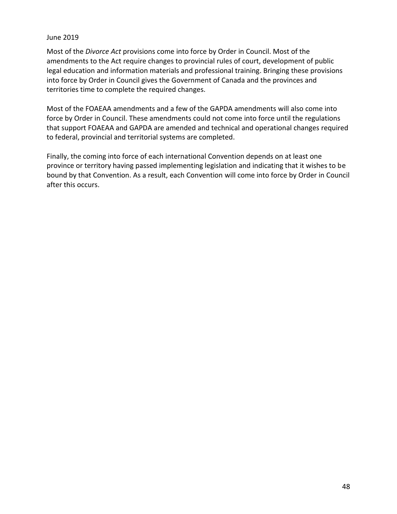Most of the *Divorce Act* provisions come into force by Order in Council. Most of the amendments to the Act require changes to provincial rules of court, development of public legal education and information materials and professional training. Bringing these provisions into force by Order in Council gives the Government of Canada and the provinces and territories time to complete the required changes.

Most of the FOAEAA amendments and a few of the GAPDA amendments will also come into force by Order in Council. These amendments could not come into force until the regulations that support FOAEAA and GAPDA are amended and technical and operational changes required to federal, provincial and territorial systems are completed.

Finally, the coming into force of each international Convention depends on at least one province or territory having passed implementing legislation and indicating that it wishes to be bound by that Convention. As a result, each Convention will come into force by Order in Council after this occurs.